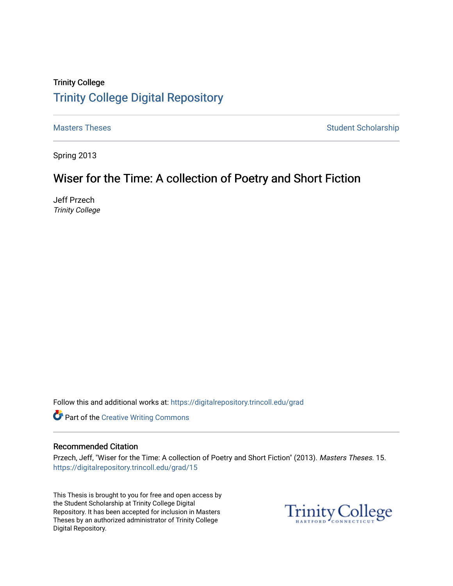## Trinity College [Trinity College Digital Repository](https://digitalrepository.trincoll.edu/)

[Masters Theses](https://digitalrepository.trincoll.edu/grad) **Student Scholarship** Masters Theses Student Scholarship

Spring 2013

# Wiser for the Time: A collection of Poetry and Short Fiction

Jeff Przech Trinity College

Follow this and additional works at: [https://digitalrepository.trincoll.edu/grad](https://digitalrepository.trincoll.edu/grad?utm_source=digitalrepository.trincoll.edu%2Fgrad%2F15&utm_medium=PDF&utm_campaign=PDFCoverPages) 

Part of the [Creative Writing Commons](http://network.bepress.com/hgg/discipline/574?utm_source=digitalrepository.trincoll.edu%2Fgrad%2F15&utm_medium=PDF&utm_campaign=PDFCoverPages) 

#### Recommended Citation

Przech, Jeff, "Wiser for the Time: A collection of Poetry and Short Fiction" (2013). Masters Theses. 15. [https://digitalrepository.trincoll.edu/grad/15](https://digitalrepository.trincoll.edu/grad/15?utm_source=digitalrepository.trincoll.edu%2Fgrad%2F15&utm_medium=PDF&utm_campaign=PDFCoverPages)

This Thesis is brought to you for free and open access by the Student Scholarship at Trinity College Digital Repository. It has been accepted for inclusion in Masters Theses by an authorized administrator of Trinity College Digital Repository.

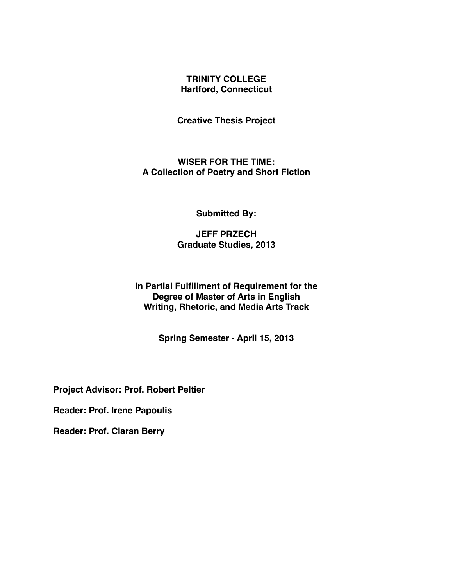#### **TRINITY COLLEGE Hartford, Connecticut**

**Creative Thesis Project**

**WISER FOR THE TIME: A Collection of Poetry and Short Fiction**

**Submitted By:**

**JEFF PRZECH Graduate Studies, 2013**

**In Partial Fulfillment of Requirement for the Degree of Master of Arts in English Writing, Rhetoric, and Media Arts Track**

**Spring Semester - April 15, 2013**

**Project Advisor: Prof. Robert Peltier**

**Reader: Prof. Irene Papoulis**

**Reader: Prof. Ciaran Berry**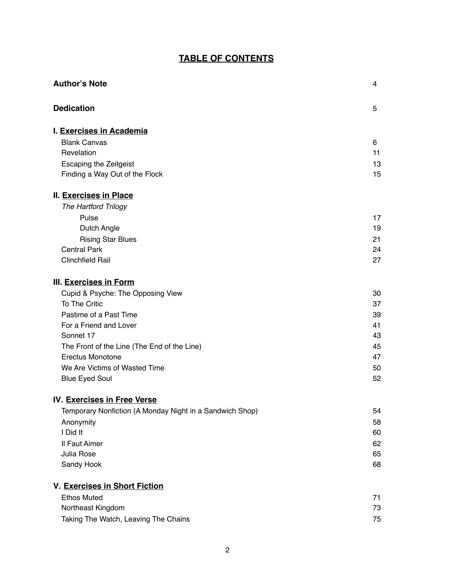### **TABLE OF CONTENTS**

| <b>Author's Note</b>                                     | 4  |
|----------------------------------------------------------|----|
| <b>Dedication</b>                                        | 5  |
| I. Exercises in Academia                                 |    |
| <b>Blank Canvas</b>                                      | 6  |
| Revelation                                               | 11 |
| <b>Escaping the Zeitgeist</b>                            | 13 |
| Finding a Way Out of the Flock                           | 15 |
| <b>II. Exercises in Place</b>                            |    |
| The Hartford Trilogy                                     |    |
| Pulse                                                    | 17 |
| Dutch Angle                                              | 19 |
| <b>Rising Star Blues</b>                                 | 21 |
| <b>Central Park</b>                                      | 24 |
| <b>Clinchfield Rail</b>                                  | 27 |
| <b>III. Exercises in Form</b>                            |    |
| Cupid & Psyche: The Opposing View                        | 30 |
| To The Critic                                            | 37 |
| Pastime of a Past Time                                   | 39 |
| For a Friend and Lover                                   | 41 |
| Sonnet 17                                                | 43 |
| The Front of the Line (The End of the Line)              | 45 |
| <b>Erectus Monotone</b>                                  | 47 |
| We Are Victims of Wasted Time                            | 50 |
| <b>Blue Eyed Soul</b>                                    | 52 |
| <b>IV. Exercises in Free Verse</b>                       |    |
| Temporary Nonfiction (A Monday Night in a Sandwich Shop) | 54 |
| Anonymity                                                | 58 |
| I Did It                                                 | 60 |
| Il Faut Aimer                                            | 62 |
| Julia Rose                                               | 65 |
| Sandy Hook                                               | 68 |
| V. Exercises in Short Fiction                            |    |
| <b>Ethos Muted</b>                                       | 71 |
| Northeast Kingdom                                        | 73 |
| Taking The Watch, Leaving The Chains                     | 75 |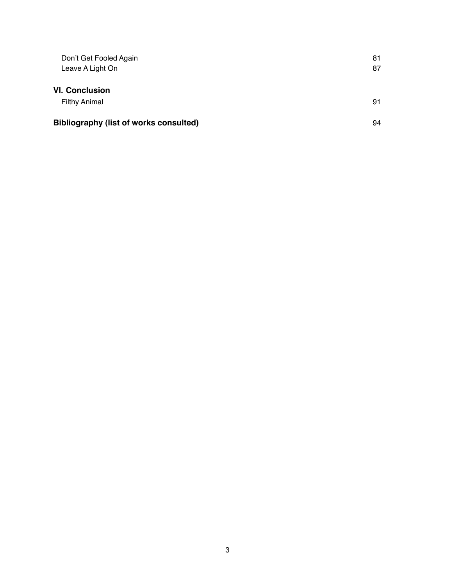| Don't Get Fooled Again                 | 81 |
|----------------------------------------|----|
| Leave A Light On                       | 87 |
| <b>VI. Conclusion</b>                  |    |
| <b>Filthy Animal</b>                   | 91 |
| Bibliography (list of works consulted) | 94 |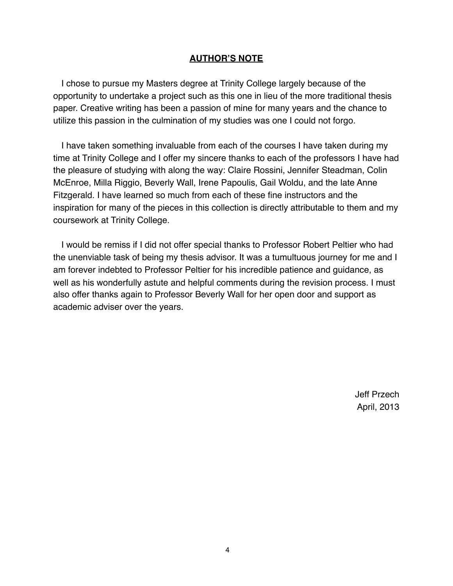#### **AUTHOR'S NOTE**

I chose to pursue my Masters degree at Trinity College largely because of the opportunity to undertake a project such as this one in lieu of the more traditional thesis paper. Creative writing has been a passion of mine for many years and the chance to utilize this passion in the culmination of my studies was one I could not forgo.

I have taken something invaluable from each of the courses I have taken during my time at Trinity College and I offer my sincere thanks to each of the professors I have had the pleasure of studying with along the way: Claire Rossini, Jennifer Steadman, Colin McEnroe, Milla Riggio, Beverly Wall, Irene Papoulis, Gail Woldu, and the late Anne Fitzgerald. I have learned so much from each of these fine instructors and the inspiration for many of the pieces in this collection is directly attributable to them and my coursework at Trinity College.

I would be remiss if I did not offer special thanks to Professor Robert Peltier who had the unenviable task of being my thesis advisor. It was a tumultuous journey for me and I am forever indebted to Professor Peltier for his incredible patience and guidance, as well as his wonderfully astute and helpful comments during the revision process. I must also offer thanks again to Professor Beverly Wall for her open door and support as academic adviser over the years.

> Jeff Przech April, 2013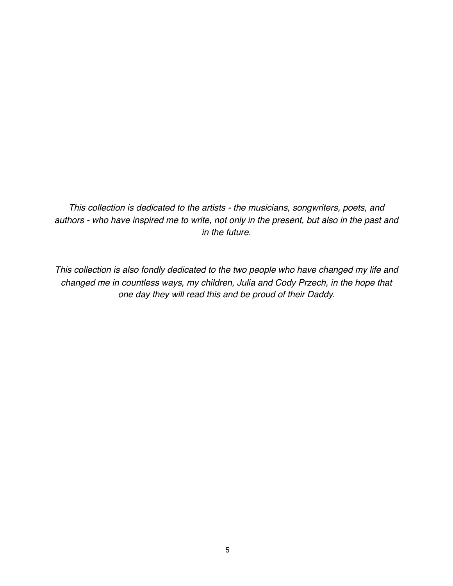*This collection is dedicated to the artists - the musicians, songwriters, poets, and authors - who have inspired me to write, not only in the present, but also in the past and in the future.* 

*This collection is also fondly dedicated to the two people who have changed my life and changed me in countless ways, my children, Julia and Cody Przech, in the hope that one day they will read this and be proud of their Daddy.*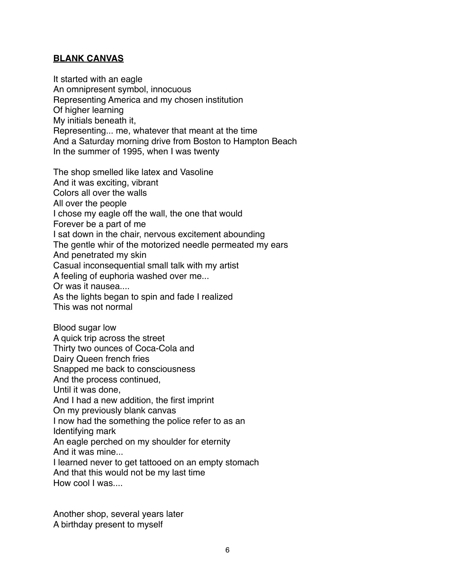### **BLANK CANVAS**

It started with an eagle An omnipresent symbol, innocuous Representing America and my chosen institution Of higher learning My initials beneath it, Representing... me, whatever that meant at the time And a Saturday morning drive from Boston to Hampton Beach In the summer of 1995, when I was twenty

The shop smelled like latex and Vasoline And it was exciting, vibrant Colors all over the walls All over the people I chose my eagle off the wall, the one that would Forever be a part of me I sat down in the chair, nervous excitement abounding The gentle whir of the motorized needle permeated my ears And penetrated my skin Casual inconsequential small talk with my artist A feeling of euphoria washed over me... Or was it nausea.... As the lights began to spin and fade I realized This was not normal Blood sugar low A quick trip across the street Thirty two ounces of Coca-Cola and Dairy Queen french fries Snapped me back to consciousness And the process continued, Until it was done, And I had a new addition, the first imprint On my previously blank canvas I now had the something the police refer to as an Identifying mark An eagle perched on my shoulder for eternity And it was mine...

I learned never to get tattooed on an empty stomach And that this would not be my last time How cool I was....

Another shop, several years later A birthday present to myself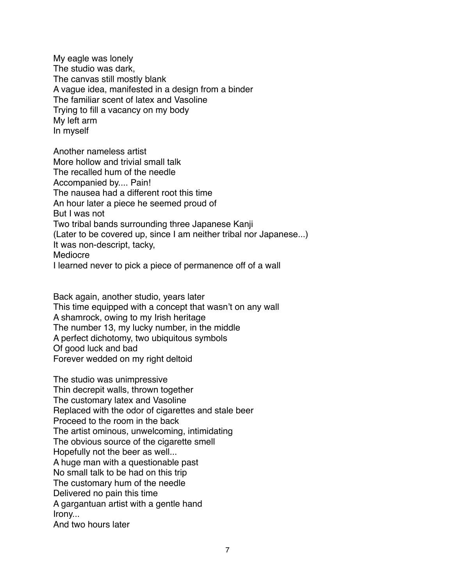My eagle was lonely The studio was dark, The canvas still mostly blank A vague idea, manifested in a design from a binder The familiar scent of latex and Vasoline Trying to fill a vacancy on my body My left arm In myself

Another nameless artist More hollow and trivial small talk The recalled hum of the needle Accompanied by.... Pain! The nausea had a different root this time An hour later a piece he seemed proud of But I was not Two tribal bands surrounding three Japanese Kanji (Later to be covered up, since I am neither tribal nor Japanese...) It was non-descript, tacky, Mediocre I learned never to pick a piece of permanence off of a wall

Back again, another studio, years later This time equipped with a concept that wasn't on any wall A shamrock, owing to my Irish heritage The number 13, my lucky number, in the middle A perfect dichotomy, two ubiquitous symbols Of good luck and bad Forever wedded on my right deltoid

The studio was unimpressive Thin decrepit walls, thrown together The customary latex and Vasoline Replaced with the odor of cigarettes and stale beer Proceed to the room in the back The artist ominous, unwelcoming, intimidating The obvious source of the cigarette smell Hopefully not the beer as well... A huge man with a questionable past No small talk to be had on this trip The customary hum of the needle Delivered no pain this time A gargantuan artist with a gentle hand Irony... And two hours later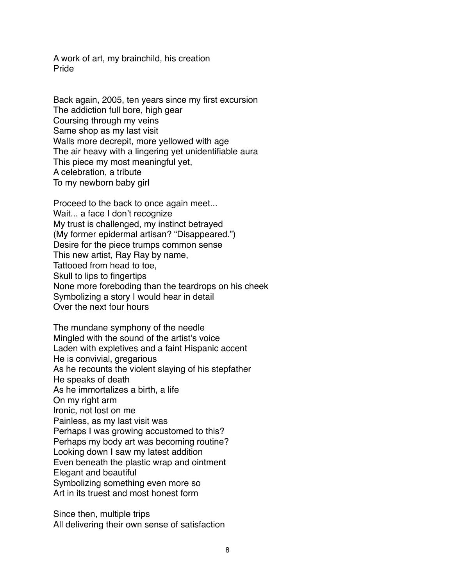A work of art, my brainchild, his creation Pride

Back again, 2005, ten years since my first excursion The addiction full bore, high gear Coursing through my veins Same shop as my last visit Walls more decrepit, more yellowed with age The air heavy with a lingering yet unidentifiable aura This piece my most meaningful yet, A celebration, a tribute To my newborn baby girl

Proceed to the back to once again meet... Wait... a face I don't recognize My trust is challenged, my instinct betrayed (My former epidermal artisan? "Disappeared.") Desire for the piece trumps common sense This new artist, Ray Ray by name, Tattooed from head to toe, Skull to lips to fingertips None more foreboding than the teardrops on his cheek Symbolizing a story I would hear in detail Over the next four hours

The mundane symphony of the needle Mingled with the sound of the artist's voice Laden with expletives and a faint Hispanic accent He is convivial, gregarious As he recounts the violent slaying of his stepfather He speaks of death As he immortalizes a birth, a life On my right arm Ironic, not lost on me Painless, as my last visit was Perhaps I was growing accustomed to this? Perhaps my body art was becoming routine? Looking down I saw my latest addition Even beneath the plastic wrap and ointment Elegant and beautiful Symbolizing something even more so Art in its truest and most honest form

Since then, multiple trips All delivering their own sense of satisfaction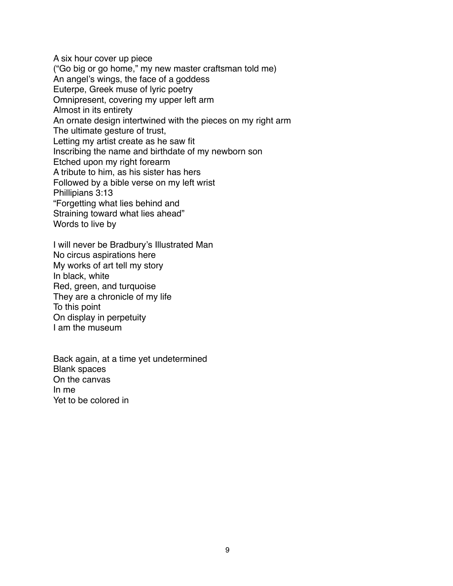A six hour cover up piece ("Go big or go home," my new master craftsman told me) An angel's wings, the face of a goddess Euterpe, Greek muse of lyric poetry Omnipresent, covering my upper left arm Almost in its entirety An ornate design intertwined with the pieces on my right arm The ultimate gesture of trust, Letting my artist create as he saw fit Inscribing the name and birthdate of my newborn son Etched upon my right forearm A tribute to him, as his sister has hers Followed by a bible verse on my left wrist Phillipians 3:13 "Forgetting what lies behind and Straining toward what lies ahead" Words to live by

I will never be Bradbury's Illustrated Man No circus aspirations here My works of art tell my story In black, white Red, green, and turquoise They are a chronicle of my life To this point On display in perpetuity I am the museum

Back again, at a time yet undetermined Blank spaces On the canvas In me Yet to be colored in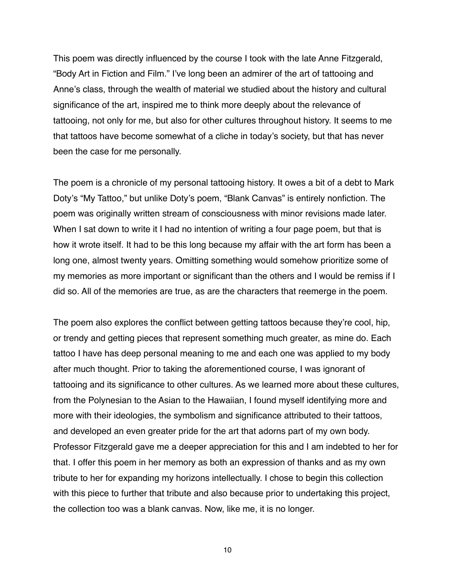This poem was directly influenced by the course I took with the late Anne Fitzgerald, "Body Art in Fiction and Film." I've long been an admirer of the art of tattooing and Anne's class, through the wealth of material we studied about the history and cultural significance of the art, inspired me to think more deeply about the relevance of tattooing, not only for me, but also for other cultures throughout history. It seems to me that tattoos have become somewhat of a cliche in today's society, but that has never been the case for me personally.

The poem is a chronicle of my personal tattooing history. It owes a bit of a debt to Mark Doty's "My Tattoo," but unlike Doty's poem, "Blank Canvas" is entirely nonfiction. The poem was originally written stream of consciousness with minor revisions made later. When I sat down to write it I had no intention of writing a four page poem, but that is how it wrote itself. It had to be this long because my affair with the art form has been a long one, almost twenty years. Omitting something would somehow prioritize some of my memories as more important or significant than the others and I would be remiss if I did so. All of the memories are true, as are the characters that reemerge in the poem.

The poem also explores the conflict between getting tattoos because they're cool, hip, or trendy and getting pieces that represent something much greater, as mine do. Each tattoo I have has deep personal meaning to me and each one was applied to my body after much thought. Prior to taking the aforementioned course, I was ignorant of tattooing and its significance to other cultures. As we learned more about these cultures, from the Polynesian to the Asian to the Hawaiian, I found myself identifying more and more with their ideologies, the symbolism and significance attributed to their tattoos, and developed an even greater pride for the art that adorns part of my own body. Professor Fitzgerald gave me a deeper appreciation for this and I am indebted to her for that. I offer this poem in her memory as both an expression of thanks and as my own tribute to her for expanding my horizons intellectually. I chose to begin this collection with this piece to further that tribute and also because prior to undertaking this project, the collection too was a blank canvas. Now, like me, it is no longer.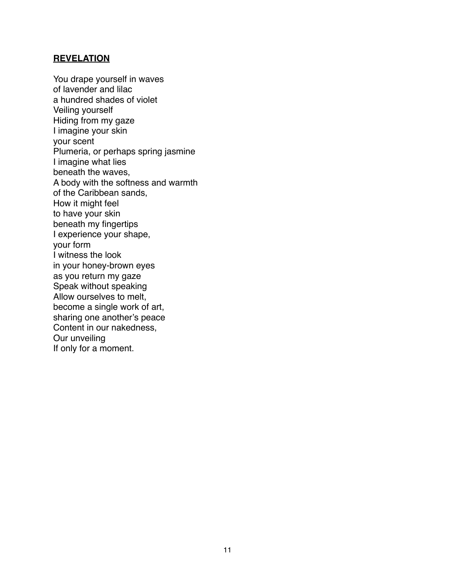#### **REVELATION**

You drape yourself in waves of lavender and lilac a hundred shades of violet Veiling yourself Hiding from my gaze I imagine your skin your scent Plumeria, or perhaps spring jasmine I imagine what lies beneath the waves, A body with the softness and warmth of the Caribbean sands, How it might feel to have your skin beneath my fingertips I experience your shape, your form I witness the look in your honey-brown eyes as you return my gaze Speak without speaking Allow ourselves to melt, become a single work of art, sharing one another's peace Content in our nakedness, Our unveiling If only for a moment.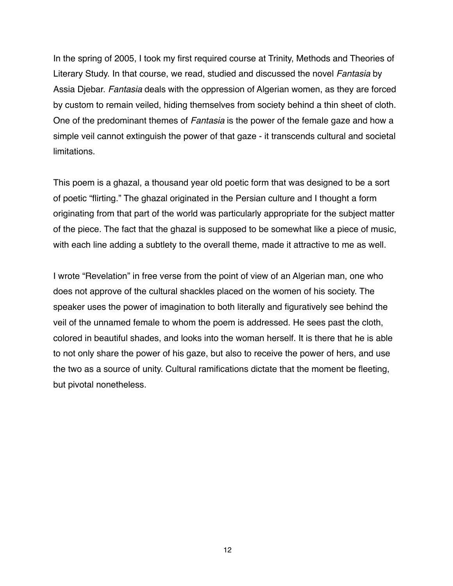In the spring of 2005, I took my first required course at Trinity, Methods and Theories of Literary Study. In that course, we read, studied and discussed the novel *Fantasia* by Assia Djebar. *Fantasia* deals with the oppression of Algerian women, as they are forced by custom to remain veiled, hiding themselves from society behind a thin sheet of cloth. One of the predominant themes of *Fantasia* is the power of the female gaze and how a simple veil cannot extinguish the power of that gaze - it transcends cultural and societal limitations.

This poem is a ghazal, a thousand year old poetic form that was designed to be a sort of poetic "flirting." The ghazal originated in the Persian culture and I thought a form originating from that part of the world was particularly appropriate for the subject matter of the piece. The fact that the ghazal is supposed to be somewhat like a piece of music, with each line adding a subtlety to the overall theme, made it attractive to me as well.

I wrote "Revelation" in free verse from the point of view of an Algerian man, one who does not approve of the cultural shackles placed on the women of his society. The speaker uses the power of imagination to both literally and figuratively see behind the veil of the unnamed female to whom the poem is addressed. He sees past the cloth, colored in beautiful shades, and looks into the woman herself. It is there that he is able to not only share the power of his gaze, but also to receive the power of hers, and use the two as a source of unity. Cultural ramifications dictate that the moment be fleeting, but pivotal nonetheless.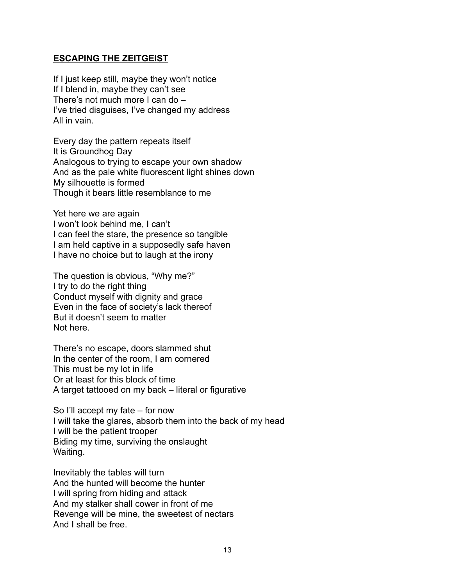#### **ESCAPING THE ZEITGEIST**

If I just keep still, maybe they won't notice If I blend in, maybe they can't see There's not much more I can do – I've tried disguises, I've changed my address All in vain.

Every day the pattern repeats itself It is Groundhog Day Analogous to trying to escape your own shadow And as the pale white fluorescent light shines down My silhouette is formed Though it bears little resemblance to me

Yet here we are again I won't look behind me, I can't I can feel the stare, the presence so tangible I am held captive in a supposedly safe haven I have no choice but to laugh at the irony

The question is obvious, "Why me?" I try to do the right thing Conduct myself with dignity and grace Even in the face of society's lack thereof But it doesn't seem to matter Not here.

There's no escape, doors slammed shut In the center of the room, I am cornered This must be my lot in life Or at least for this block of time A target tattooed on my back – literal or figurative

So I'll accept my fate – for now I will take the glares, absorb them into the back of my head I will be the patient trooper Biding my time, surviving the onslaught Waiting.

Inevitably the tables will turn And the hunted will become the hunter I will spring from hiding and attack And my stalker shall cower in front of me Revenge will be mine, the sweetest of nectars And I shall be free.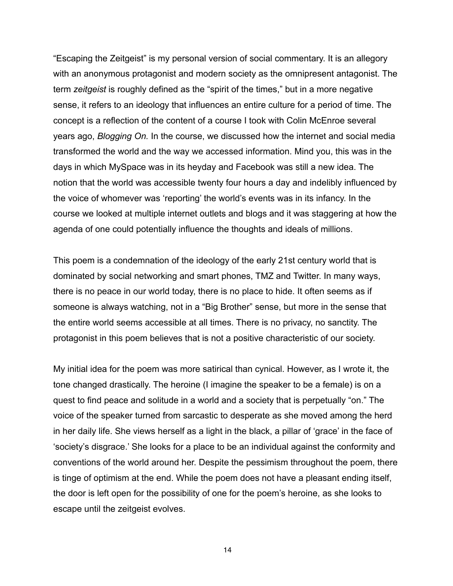"Escaping the Zeitgeist" is my personal version of social commentary. It is an allegory with an anonymous protagonist and modern society as the omnipresent antagonist. The term *zeitgeist* is roughly defined as the "spirit of the times," but in a more negative sense, it refers to an ideology that influences an entire culture for a period of time. The concept is a reflection of the content of a course I took with Colin McEnroe several years ago, *Blogging On.* In the course, we discussed how the internet and social media transformed the world and the way we accessed information. Mind you, this was in the days in which MySpace was in its heyday and Facebook was still a new idea. The notion that the world was accessible twenty four hours a day and indelibly influenced by the voice of whomever was 'reporting' the world's events was in its infancy. In the course we looked at multiple internet outlets and blogs and it was staggering at how the agenda of one could potentially influence the thoughts and ideals of millions.

This poem is a condemnation of the ideology of the early 21st century world that is dominated by social networking and smart phones, TMZ and Twitter. In many ways, there is no peace in our world today, there is no place to hide. It often seems as if someone is always watching, not in a "Big Brother" sense, but more in the sense that the entire world seems accessible at all times. There is no privacy, no sanctity. The protagonist in this poem believes that is not a positive characteristic of our society.

My initial idea for the poem was more satirical than cynical. However, as I wrote it, the tone changed drastically. The heroine (I imagine the speaker to be a female) is on a quest to find peace and solitude in a world and a society that is perpetually "on." The voice of the speaker turned from sarcastic to desperate as she moved among the herd in her daily life. She views herself as a light in the black, a pillar of 'grace' in the face of 'society's disgrace.' She looks for a place to be an individual against the conformity and conventions of the world around her. Despite the pessimism throughout the poem, there is tinge of optimism at the end. While the poem does not have a pleasant ending itself, the door is left open for the possibility of one for the poem's heroine, as she looks to escape until the zeitgeist evolves.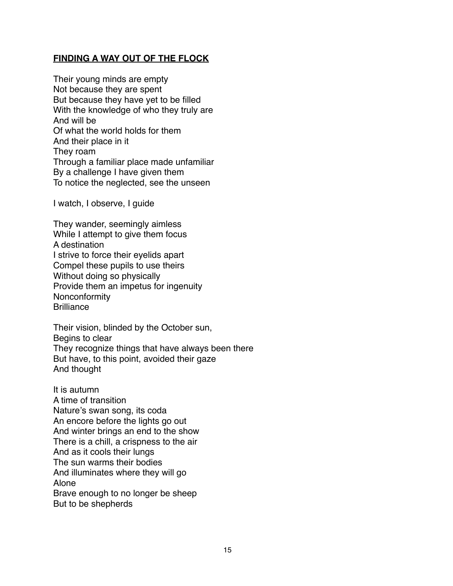### **FINDING A WAY OUT OF THE FLOCK**

Their young minds are empty Not because they are spent But because they have yet to be filled With the knowledge of who they truly are And will be Of what the world holds for them And their place in it They roam Through a familiar place made unfamiliar By a challenge I have given them To notice the neglected, see the unseen

I watch, I observe, I guide

They wander, seemingly aimless While I attempt to give them focus A destination I strive to force their eyelids apart Compel these pupils to use theirs Without doing so physically Provide them an impetus for ingenuity Nonconformity **Brilliance** 

Their vision, blinded by the October sun, Begins to clear They recognize things that have always been there But have, to this point, avoided their gaze And thought

It is autumn A time of transition Nature's swan song, its coda An encore before the lights go out And winter brings an end to the show There is a chill, a crispness to the air And as it cools their lungs The sun warms their bodies And illuminates where they will go Alone Brave enough to no longer be sheep But to be shepherds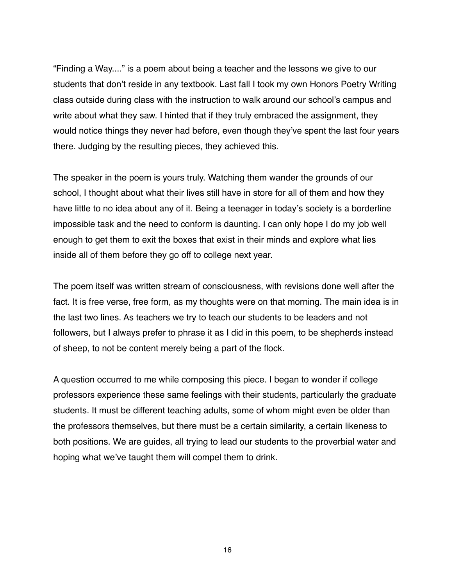"Finding a Way...." is a poem about being a teacher and the lessons we give to our students that don't reside in any textbook. Last fall I took my own Honors Poetry Writing class outside during class with the instruction to walk around our school's campus and write about what they saw. I hinted that if they truly embraced the assignment, they would notice things they never had before, even though they've spent the last four years there. Judging by the resulting pieces, they achieved this.

The speaker in the poem is yours truly. Watching them wander the grounds of our school, I thought about what their lives still have in store for all of them and how they have little to no idea about any of it. Being a teenager in today's society is a borderline impossible task and the need to conform is daunting. I can only hope I do my job well enough to get them to exit the boxes that exist in their minds and explore what lies inside all of them before they go off to college next year.

The poem itself was written stream of consciousness, with revisions done well after the fact. It is free verse, free form, as my thoughts were on that morning. The main idea is in the last two lines. As teachers we try to teach our students to be leaders and not followers, but I always prefer to phrase it as I did in this poem, to be shepherds instead of sheep, to not be content merely being a part of the flock.

A question occurred to me while composing this piece. I began to wonder if college professors experience these same feelings with their students, particularly the graduate students. It must be different teaching adults, some of whom might even be older than the professors themselves, but there must be a certain similarity, a certain likeness to both positions. We are guides, all trying to lead our students to the proverbial water and hoping what we've taught them will compel them to drink.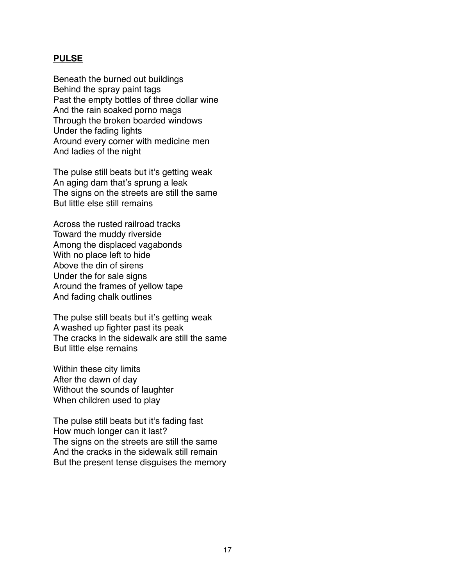#### **PULSE**

Beneath the burned out buildings Behind the spray paint tags Past the empty bottles of three dollar wine And the rain soaked porno mags Through the broken boarded windows Under the fading lights Around every corner with medicine men And ladies of the night

The pulse still beats but it's getting weak An aging dam that's sprung a leak The signs on the streets are still the same But little else still remains

Across the rusted railroad tracks Toward the muddy riverside Among the displaced vagabonds With no place left to hide Above the din of sirens Under the for sale signs Around the frames of yellow tape And fading chalk outlines

The pulse still beats but it's getting weak A washed up fighter past its peak The cracks in the sidewalk are still the same But little else remains

Within these city limits After the dawn of day Without the sounds of laughter When children used to play

The pulse still beats but it's fading fast How much longer can it last? The signs on the streets are still the same And the cracks in the sidewalk still remain But the present tense disguises the memory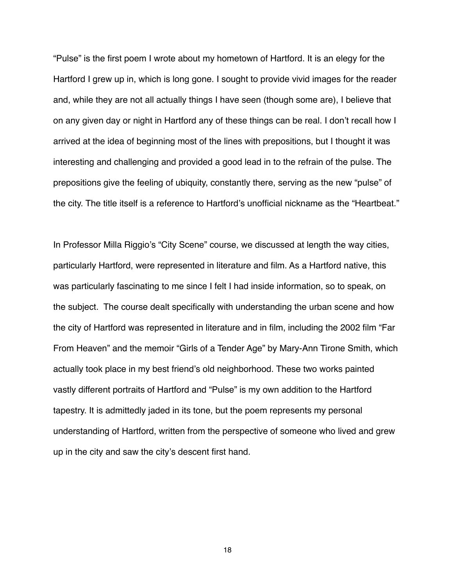"Pulse" is the first poem I wrote about my hometown of Hartford. It is an elegy for the Hartford I grew up in, which is long gone. I sought to provide vivid images for the reader and, while they are not all actually things I have seen (though some are), I believe that on any given day or night in Hartford any of these things can be real. I don't recall how I arrived at the idea of beginning most of the lines with prepositions, but I thought it was interesting and challenging and provided a good lead in to the refrain of the pulse. The prepositions give the feeling of ubiquity, constantly there, serving as the new "pulse" of the city. The title itself is a reference to Hartford's unofficial nickname as the "Heartbeat."

In Professor Milla Riggio's "City Scene" course, we discussed at length the way cities, particularly Hartford, were represented in literature and film. As a Hartford native, this was particularly fascinating to me since I felt I had inside information, so to speak, on the subject. The course dealt specifically with understanding the urban scene and how the city of Hartford was represented in literature and in film, including the 2002 film "Far From Heaven" and the memoir "Girls of a Tender Age" by Mary-Ann Tirone Smith, which actually took place in my best friend's old neighborhood. These two works painted vastly different portraits of Hartford and "Pulse" is my own addition to the Hartford tapestry. It is admittedly jaded in its tone, but the poem represents my personal understanding of Hartford, written from the perspective of someone who lived and grew up in the city and saw the city's descent first hand.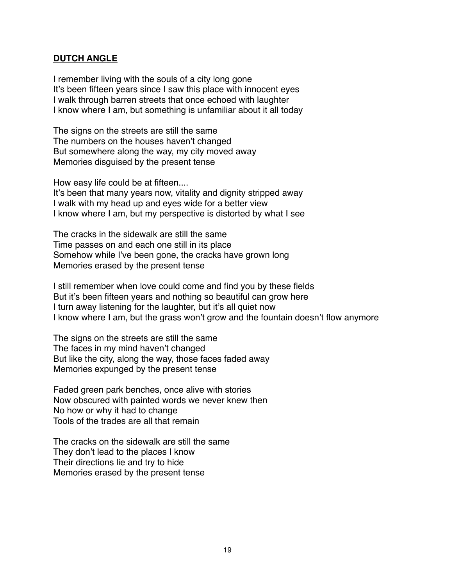#### **DUTCH ANGLE**

I remember living with the souls of a city long gone It's been fifteen years since I saw this place with innocent eyes I walk through barren streets that once echoed with laughter I know where I am, but something is unfamiliar about it all today

The signs on the streets are still the same The numbers on the houses haven't changed But somewhere along the way, my city moved away Memories disguised by the present tense

How easy life could be at fifteen....

It's been that many years now, vitality and dignity stripped away I walk with my head up and eyes wide for a better view I know where I am, but my perspective is distorted by what I see

The cracks in the sidewalk are still the same Time passes on and each one still in its place Somehow while I've been gone, the cracks have grown long Memories erased by the present tense

I still remember when love could come and find you by these fields But it's been fifteen years and nothing so beautiful can grow here I turn away listening for the laughter, but it's all quiet now I know where I am, but the grass won't grow and the fountain doesn't flow anymore

The signs on the streets are still the same The faces in my mind haven't changed But like the city, along the way, those faces faded away Memories expunged by the present tense

Faded green park benches, once alive with stories Now obscured with painted words we never knew then No how or why it had to change Tools of the trades are all that remain

The cracks on the sidewalk are still the same They don't lead to the places I know Their directions lie and try to hide Memories erased by the present tense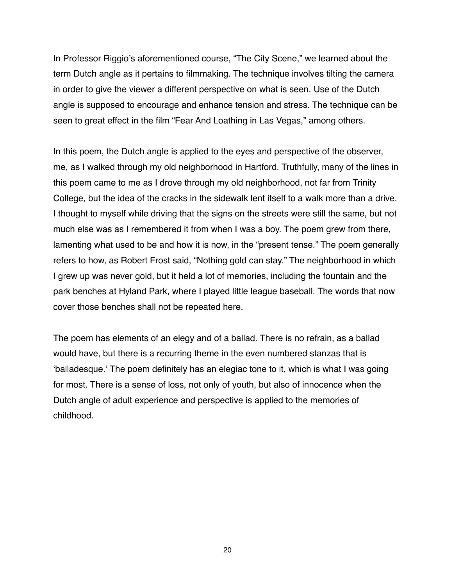In Professor Riggio's aforementioned course, "The City Scene," we learned about the term Dutch angle as it pertains to filmmaking. The technique involves tilting the camera in order to give the viewer a different perspective on what is seen. Use of the Dutch angle is supposed to encourage and enhance tension and stress. The technique can be seen to great effect in the film "Fear And Loathing in Las Vegas," among others.

In this poem, the Dutch angle is applied to the eyes and perspective of the observer, me, as I walked through my old neighborhood in Hartford. Truthfully, many of the lines in this poem came to me as I drove through my old neighborhood, not far from Trinity College, but the idea of the cracks in the sidewalk lent itself to a walk more than a drive. I thought to myself while driving that the signs on the streets were still the same, but not much else was as I remembered it from when I was a boy. The poem grew from there, lamenting what used to be and how it is now, in the "present tense." The poem generally refers to how, as Robert Frost said, "Nothing gold can stay." The neighborhood in which I grew up was never gold, but it held a lot of memories, including the fountain and the park benches at Hyland Park, where I played little league baseball. The words that now cover those benches shall not be repeated here.

The poem has elements of an elegy and of a ballad. There is no refrain, as a ballad would have, but there is a recurring theme in the even numbered stanzas that is ʻballadesque.' The poem definitely has an elegiac tone to it, which is what I was going for most. There is a sense of loss, not only of youth, but also of innocence when the Dutch angle of adult experience and perspective is applied to the memories of childhood.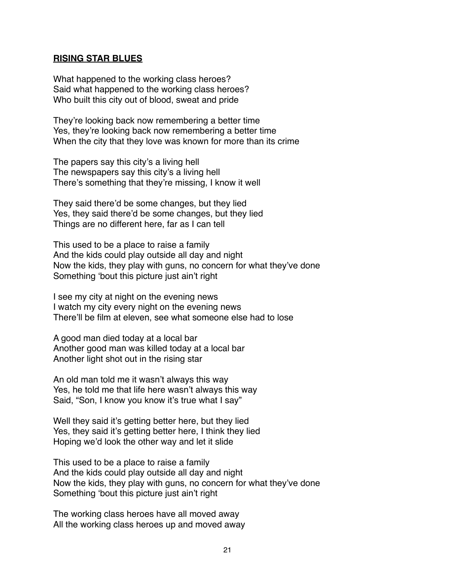#### **RISING STAR BLUES**

What happened to the working class heroes? Said what happened to the working class heroes? Who built this city out of blood, sweat and pride

They're looking back now remembering a better time Yes, they're looking back now remembering a better time When the city that they love was known for more than its crime

The papers say this city's a living hell The newspapers say this city's a living hell There's something that they're missing, I know it well

They said there'd be some changes, but they lied Yes, they said there'd be some changes, but they lied Things are no different here, far as I can tell

This used to be a place to raise a family And the kids could play outside all day and night Now the kids, they play with guns, no concern for what they've done Something ʻbout this picture just ain't right

I see my city at night on the evening news I watch my city every night on the evening news There'll be film at eleven, see what someone else had to lose

A good man died today at a local bar Another good man was killed today at a local bar Another light shot out in the rising star

An old man told me it wasn't always this way Yes, he told me that life here wasn't always this way Said, "Son, I know you know it's true what I say"

Well they said it's getting better here, but they lied Yes, they said it's getting better here, I think they lied Hoping we'd look the other way and let it slide

This used to be a place to raise a family And the kids could play outside all day and night Now the kids, they play with guns, no concern for what they've done Something ʻbout this picture just ain't right

The working class heroes have all moved away All the working class heroes up and moved away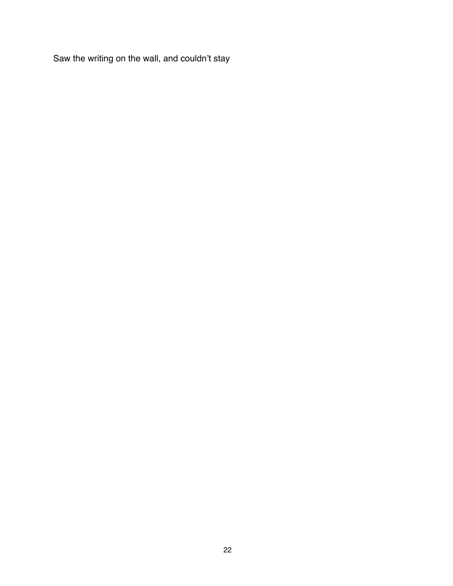Saw the writing on the wall, and couldn't stay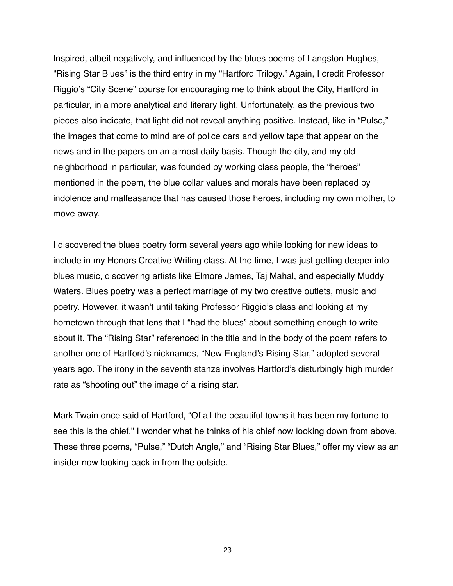Inspired, albeit negatively, and influenced by the blues poems of Langston Hughes, "Rising Star Blues" is the third entry in my "Hartford Trilogy." Again, I credit Professor Riggio's "City Scene" course for encouraging me to think about the City, Hartford in particular, in a more analytical and literary light. Unfortunately, as the previous two pieces also indicate, that light did not reveal anything positive. Instead, like in "Pulse," the images that come to mind are of police cars and yellow tape that appear on the news and in the papers on an almost daily basis. Though the city, and my old neighborhood in particular, was founded by working class people, the "heroes" mentioned in the poem, the blue collar values and morals have been replaced by indolence and malfeasance that has caused those heroes, including my own mother, to move away.

I discovered the blues poetry form several years ago while looking for new ideas to include in my Honors Creative Writing class. At the time, I was just getting deeper into blues music, discovering artists like Elmore James, Taj Mahal, and especially Muddy Waters. Blues poetry was a perfect marriage of my two creative outlets, music and poetry. However, it wasn't until taking Professor Riggio's class and looking at my hometown through that lens that I "had the blues" about something enough to write about it. The "Rising Star" referenced in the title and in the body of the poem refers to another one of Hartford's nicknames, "New England's Rising Star," adopted several years ago. The irony in the seventh stanza involves Hartford's disturbingly high murder rate as "shooting out" the image of a rising star.

Mark Twain once said of Hartford, "Of all the beautiful towns it has been my fortune to see this is the chief." I wonder what he thinks of his chief now looking down from above. These three poems, "Pulse," "Dutch Angle," and "Rising Star Blues," offer my view as an insider now looking back in from the outside.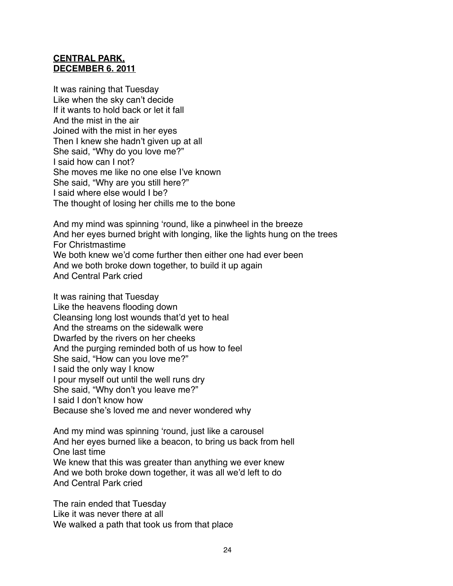### **CENTRAL PARK, DECEMBER 6. 2011**

It was raining that Tuesday Like when the sky can't decide If it wants to hold back or let it fall And the mist in the air Joined with the mist in her eyes Then I knew she hadn't given up at all She said, "Why do you love me?" I said how can I not? She moves me like no one else I've known She said, "Why are you still here?" I said where else would I be? The thought of losing her chills me to the bone

And my mind was spinning ʻround, like a pinwheel in the breeze And her eyes burned bright with longing, like the lights hung on the trees For Christmastime We both knew we'd come further then either one had ever been And we both broke down together, to build it up again And Central Park cried

It was raining that Tuesday Like the heavens flooding down Cleansing long lost wounds that'd yet to heal And the streams on the sidewalk were Dwarfed by the rivers on her cheeks And the purging reminded both of us how to feel She said, "How can you love me?" I said the only way I know I pour myself out until the well runs dry She said, "Why don't you leave me?" I said I don't know how Because she's loved me and never wondered why

And my mind was spinning ʻround, just like a carousel And her eyes burned like a beacon, to bring us back from hell One last time We knew that this was greater than anything we ever knew And we both broke down together, it was all we'd left to do And Central Park cried

The rain ended that Tuesday Like it was never there at all We walked a path that took us from that place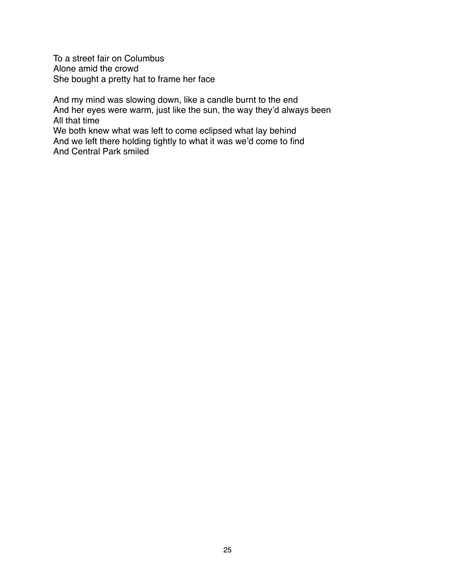To a street fair on Columbus Alone amid the crowd She bought a pretty hat to frame her face

And my mind was slowing down, like a candle burnt to the end And her eyes were warm, just like the sun, the way they'd always been All that time We both knew what was left to come eclipsed what lay behind And we left there holding tightly to what it was we'd come to find And Central Park smiled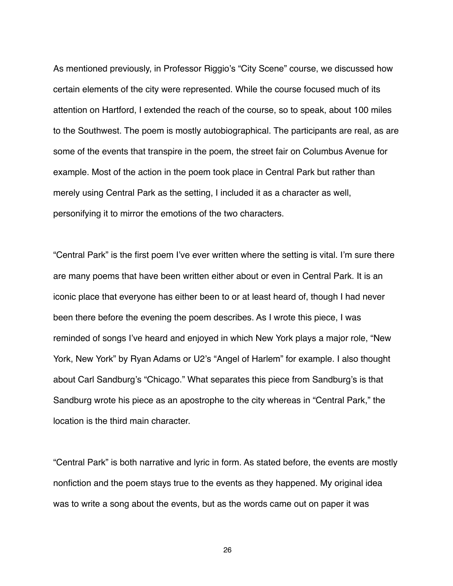As mentioned previously, in Professor Riggio's "City Scene" course, we discussed how certain elements of the city were represented. While the course focused much of its attention on Hartford, I extended the reach of the course, so to speak, about 100 miles to the Southwest. The poem is mostly autobiographical. The participants are real, as are some of the events that transpire in the poem, the street fair on Columbus Avenue for example. Most of the action in the poem took place in Central Park but rather than merely using Central Park as the setting, I included it as a character as well, personifying it to mirror the emotions of the two characters.

"Central Park" is the first poem I've ever written where the setting is vital. I'm sure there are many poems that have been written either about or even in Central Park. It is an iconic place that everyone has either been to or at least heard of, though I had never been there before the evening the poem describes. As I wrote this piece, I was reminded of songs I've heard and enjoyed in which New York plays a major role, "New York, New York" by Ryan Adams or U2's "Angel of Harlem" for example. I also thought about Carl Sandburg's "Chicago." What separates this piece from Sandburg's is that Sandburg wrote his piece as an apostrophe to the city whereas in "Central Park," the location is the third main character.

"Central Park" is both narrative and lyric in form. As stated before, the events are mostly nonfiction and the poem stays true to the events as they happened. My original idea was to write a song about the events, but as the words came out on paper it was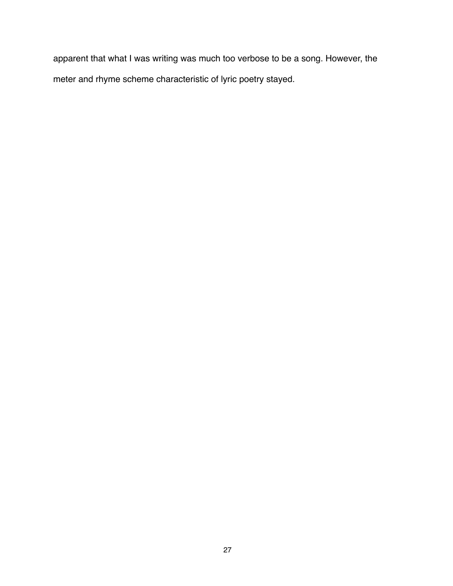apparent that what I was writing was much too verbose to be a song. However, the meter and rhyme scheme characteristic of lyric poetry stayed.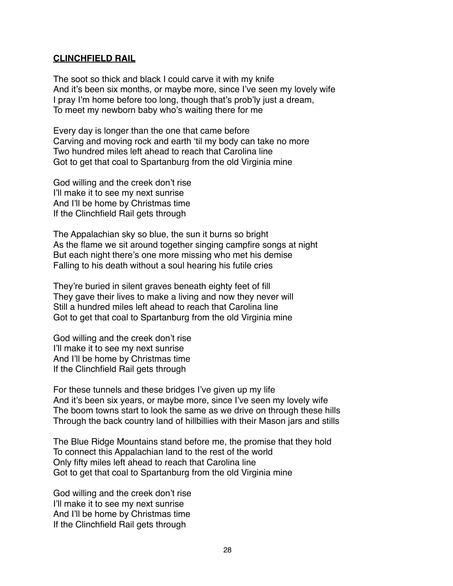#### **CLINCHFIELD RAIL**

The soot so thick and black I could carve it with my knife And it's been six months, or maybe more, since I've seen my lovely wife I pray I'm home before too long, though that's prob'ly just a dream, To meet my newborn baby who's waiting there for me

Every day is longer than the one that came before Carving and moving rock and earth ʻtil my body can take no more Two hundred miles left ahead to reach that Carolina line Got to get that coal to Spartanburg from the old Virginia mine

God willing and the creek don't rise I'll make it to see my next sunrise And I'll be home by Christmas time If the Clinchfield Rail gets through

The Appalachian sky so blue, the sun it burns so bright As the flame we sit around together singing campfire songs at night But each night there's one more missing who met his demise Falling to his death without a soul hearing his futile cries

They're buried in silent graves beneath eighty feet of fill They gave their lives to make a living and now they never will Still a hundred miles left ahead to reach that Carolina line Got to get that coal to Spartanburg from the old Virginia mine

God willing and the creek don't rise I'll make it to see my next sunrise And I'll be home by Christmas time If the Clinchfield Rail gets through

For these tunnels and these bridges I've given up my life And it's been six years, or maybe more, since I've seen my lovely wife The boom towns start to look the same as we drive on through these hills Through the back country land of hillbillies with their Mason jars and stills

The Blue Ridge Mountains stand before me, the promise that they hold To connect this Appalachian land to the rest of the world Only fifty miles left ahead to reach that Carolina line Got to get that coal to Spartanburg from the old Virginia mine

God willing and the creek don't rise I'll make it to see my next sunrise And I'll be home by Christmas time If the Clinchfield Rail gets through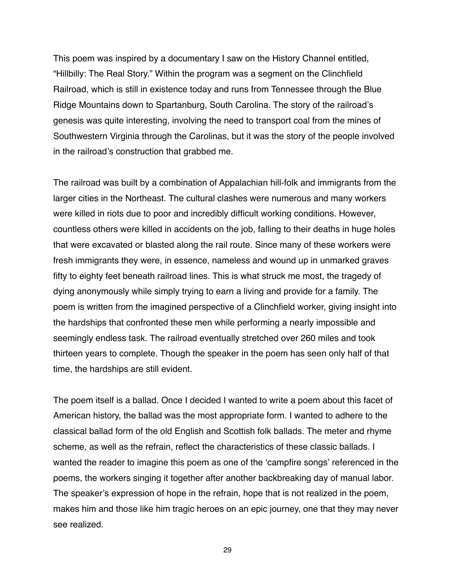This poem was inspired by a documentary I saw on the History Channel entitled, "Hillbilly: The Real Story." Within the program was a segment on the Clinchfield Railroad, which is still in existence today and runs from Tennessee through the Blue Ridge Mountains down to Spartanburg, South Carolina. The story of the railroad's genesis was quite interesting, involving the need to transport coal from the mines of Southwestern Virginia through the Carolinas, but it was the story of the people involved in the railroad's construction that grabbed me.

The railroad was built by a combination of Appalachian hill-folk and immigrants from the larger cities in the Northeast. The cultural clashes were numerous and many workers were killed in riots due to poor and incredibly difficult working conditions. However, countless others were killed in accidents on the job, falling to their deaths in huge holes that were excavated or blasted along the rail route. Since many of these workers were fresh immigrants they were, in essence, nameless and wound up in unmarked graves fifty to eighty feet beneath railroad lines. This is what struck me most, the tragedy of dying anonymously while simply trying to earn a living and provide for a family. The poem is written from the imagined perspective of a Clinchfield worker, giving insight into the hardships that confronted these men while performing a nearly impossible and seemingly endless task. The railroad eventually stretched over 260 miles and took thirteen years to complete. Though the speaker in the poem has seen only half of that time, the hardships are still evident.

The poem itself is a ballad. Once I decided I wanted to write a poem about this facet of American history, the ballad was the most appropriate form. I wanted to adhere to the classical ballad form of the old English and Scottish folk ballads. The meter and rhyme scheme, as well as the refrain, reflect the characteristics of these classic ballads. I wanted the reader to imagine this poem as one of the ʻcampfire songs' referenced in the poems, the workers singing it together after another backbreaking day of manual labor. The speaker's expression of hope in the refrain, hope that is not realized in the poem, makes him and those like him tragic heroes on an epic journey, one that they may never see realized.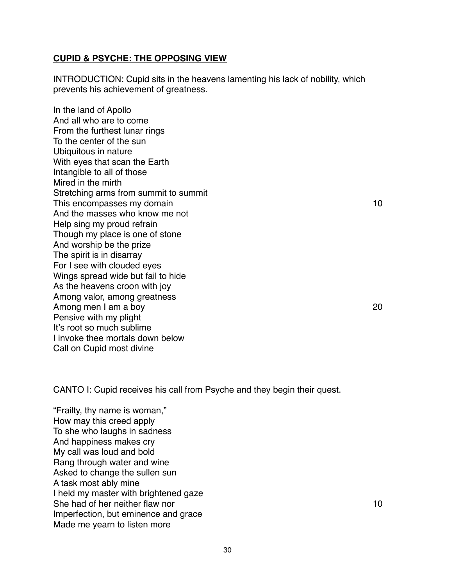#### **CUPID & PSYCHE: THE OPPOSING VIEW**

INTRODUCTION: Cupid sits in the heavens lamenting his lack of nobility, which prevents his achievement of greatness.

In the land of Apollo And all who are to come From the furthest lunar rings To the center of the sun Ubiquitous in nature With eyes that scan the Earth Intangible to all of those Mired in the mirth Stretching arms from summit to summit This encompasses my domain  $10$ And the masses who know me not Help sing my proud refrain Though my place is one of stone And worship be the prize The spirit is in disarray For I see with clouded eyes Wings spread wide but fail to hide As the heavens croon with joy Among valor, among greatness Among men I am a boy  $20$ Pensive with my plight It's root so much sublime I invoke thee mortals down below Call on Cupid most divine

CANTO I: Cupid receives his call from Psyche and they begin their quest.

"Frailty, thy name is woman," How may this creed apply To she who laughs in sadness And happiness makes cry My call was loud and bold Rang through water and wine Asked to change the sullen sun A task most ably mine I held my master with brightened gaze She had of her neither flaw nor **10** is a state of the state of the state of the state of the state of the state of the state of the state of the state of the state of the state of the state of the state of the state of th Imperfection, but eminence and grace Made me yearn to listen more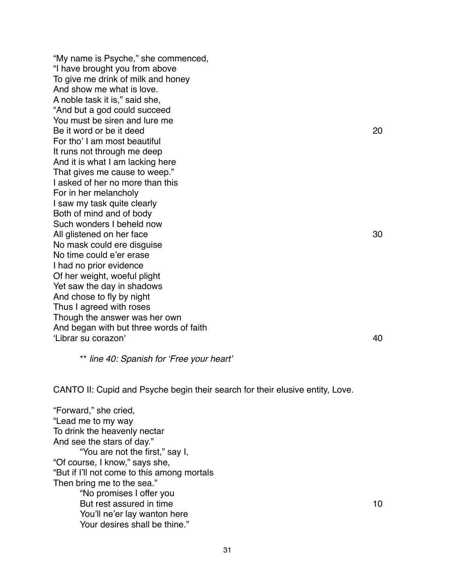"My name is Psyche," she commenced, "I have brought you from above To give me drink of milk and honey And show me what is love. A noble task it is," said she, "And but a god could succeed You must be siren and lure me Be it word or be it deed 20 For tho' I am most beautiful It runs not through me deep And it is what I am lacking here That gives me cause to weep." I asked of her no more than this For in her melancholy I saw my task quite clearly Both of mind and of body Such wonders I beheld now All glistened on her face 30 No mask could ere disguise No time could e'er erase I had no prior evidence Of her weight, woeful plight Yet saw the day in shadows And chose to fly by night Thus I agreed with roses Though the answer was her own And began with but three words of faith ʻLibrar su corazon'! ! ! ! ! ! ! ! ! ! 40

\*\* *line 40: Spanish for* ʻ*Free your heart*'

CANTO II: Cupid and Psyche begin their search for their elusive entity, Love.

"Forward," she cried, "Lead me to my way To drink the heavenly nectar And see the stars of day." "You are not the first," say I, "Of course, I know," says she, "But if I'll not come to this among mortals Then bring me to the sea." "No promises I offer you But rest assured in time  $10$ You'll ne'er lay wanton here Your desires shall be thine."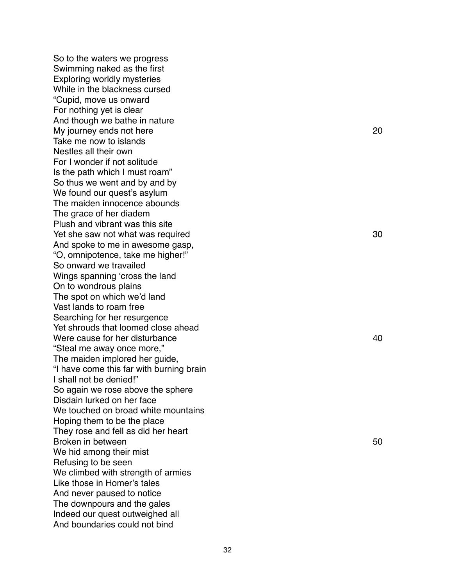So to the waters we progress Swimming naked as the first Exploring worldly mysteries While in the blackness cursed "Cupid, move us onward For nothing yet is clear And though we bathe in nature My journey ends not here  $120$ Take me now to islands Nestles all their own For I wonder if not solitude Is the path which I must roam" So thus we went and by and by We found our quest 's asylum The maiden innocence abounds The grace of her diadem Plush and vibrant was this site Yet she saw not what was required  $\frac{1}{100}$  is a set of the same state  $\frac{30}{100}$ And spoke to me in awesome gasp, "O, omnipotence, take me higher!" So onward we travailed Wings spanning ʻcross the land On to wondrous plains The spot on which we 'd land Vast lands to roam free Searching for her resurgence Yet shrouds that loomed close ahead Were cause for her disturbance  $10$  is the set of the set of the set of the set of the set of the set of the set of the set of the set of the set of the set of the set of the set of the set of the set of the set of the set "Steal me away once more," The maiden implored her guide, "I have come this far with burning brain I shall not be denied!" So again we rose above the sphere Disdain lurked on her face We touched on broad white mountains Hoping them to be the place They rose and fell as did her heart Broken in between  $\sim$  100  $\mu$  is the set of the set of the set of the set of the set of the set of the set of the set of the set of the set of the set of the set of the set of the set of the set of the set of the set of We hid among their mist Refusing to be seen We climbed with strength of armies Like those in Homer 's tales And never paused to notice The downpours and the gales Indeed our quest outweighed all And boundaries could not bind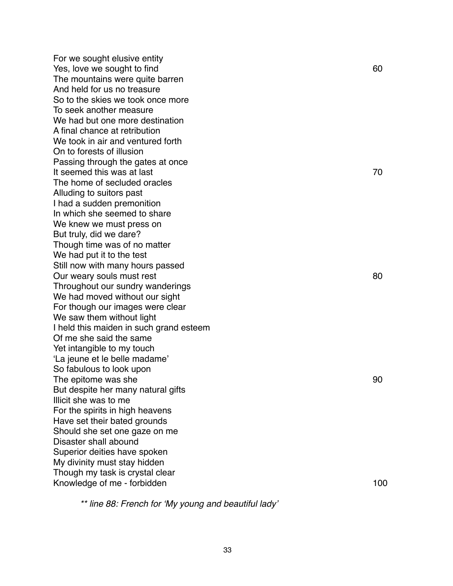For we sought elusive entity Yes, love we sought to find  $\sim$  60 The mountains were quite barren And held for us no treasure So to the skies we took once more To seek another measure We had but one more destination A final chance at retribution We took in air and ventured forth On to forests of illusion Passing through the gates at once It seemed this was at last  $\sim$  70 The home of secluded oracles Alluding to suitors past I had a sudden premonition In which she seemed to share We knew we must press on But truly, did we dare? Though time was of no matter We had put it to the test Still now with many hours passed Our weary souls must rest and the set of the set of the set of the set of the set of the set of the set of the set of the set of the set of the set of the set of the set of the set of the set of the set of the set of the s Throughout our sundry wanderings We had moved without our sight For though our images were clear We saw them without light I held this maiden in such grand esteem Of me she said the same Yet intangible to my touch ʻLa jeune et le belle madame' So fabulous to look upon The epitome was she is a state of the state of the state of the state of the state of the state of the state of the state of the state of the state of the state of the state of the state of the state of the state of the st But despite her many natural gifts Illicit she was to me For the spirits in high heavens Have set their bated grounds Should she set one gaze on me Disaster shall abound Superior deities have spoken My divinity must stay hidden Though my task is crystal clear Knowledge of me - forbidden  $100$ 

*\*\* line 88: French for* ʻ*My young and beautiful lady*'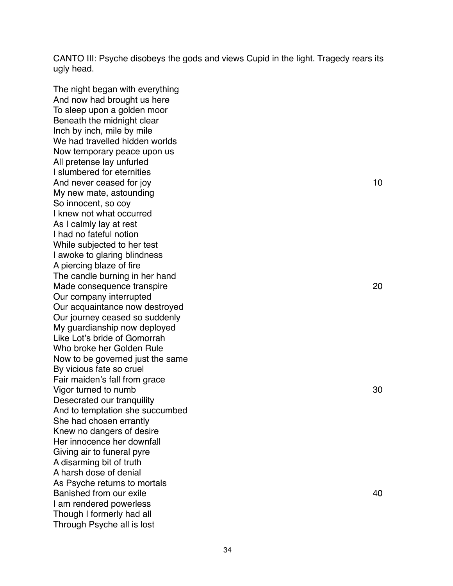CANTO III: Psyche disobeys the gods and views Cupid in the light. Tragedy rears its ugly head.

The night began with everything And now had brought us here To sleep upon a golden moor Beneath the midnight clear Inch by inch, mile by mile We had travelled hidden worlds Now temporary peace upon us All pretense lay unfurled I slumbered for eternities And never ceased for joy and the same state of the state of the state of the state of the state of the state of the state of the state of the state of the state of the state of the state of the state of the state of the st My new mate, astounding So innocent, so coy I knew not what occurred As I calmly lay at rest I had no fateful notion While subjected to her test I awoke to glaring blindness A piercing blaze of fire The candle burning in her hand Made consequence transpire  $120$ Our company interrupted Our acquaintance now destroyed Our journey ceased so suddenly My guardianship now deployed Like Lot's bride of Gomorrah Who broke her Golden Rule Now to be governed just the same By vicious fate so cruel Fair maiden's fall from grace Vigor turned to numb  $30$ Desecrated our tranquility And to temptation she succumbed She had chosen errantly Knew no dangers of desire Her innocence her downfall Giving air to funeral pyre A disarming bit of truth A harsh dose of denial As Psyche returns to mortals Banished from our exile! ! ! ! ! ! ! ! ! 40 I am rendered powerless Though I formerly had all Through Psyche all is lost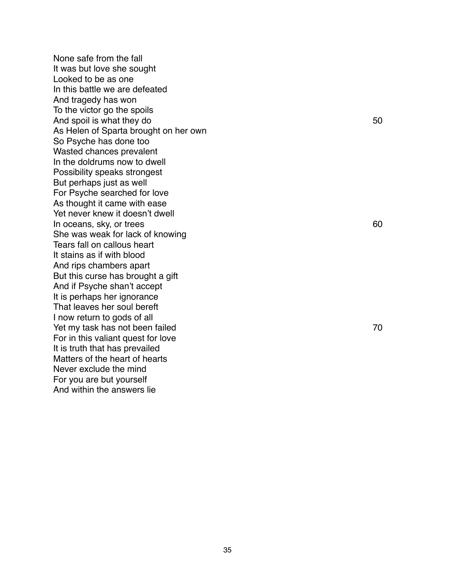None safe from the fall It was but love she sought Looked to be as one In this battle we are defeated And tragedy has won To the victor go the spoils And spoil is what they do  $50$ As Helen of Sparta brought on her own So Psyche has done too Wasted chances prevalent In the doldrums now to dwell Possibility speaks strongest But perhaps just as well For Psyche searched for love As thought it came with ease Yet never knew it doesn 't dwell In oceans, sky, or trees and the state of the state of the state of the state of the state of the state of the state of the state of the state of the state of the state of the state of the state of the state of the state o She was weak for lack of knowing Tears fall on callous heart It stains as if with blood And rips chambers apart But this curse has brought a gift And if Psyche shan 't accept It is perhaps her ignorance That leaves her soul bereft I now return to gods of all Yet my task has not been failed **EXALL SERVICE 2008** 2009 12:00 12:00 12:00 12:00 12:00 12:00 12:00 12:00 12:00 1 For in this valiant quest for love It is truth that has prevailed Matters of the heart of hearts Never exclude the mind For you are but yourself And within the answers lie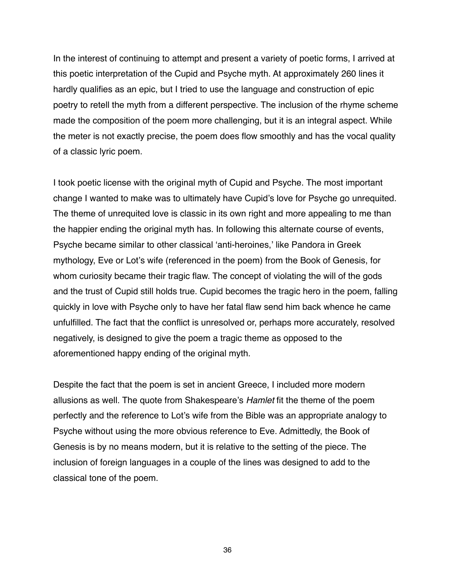In the interest of continuing to attempt and present a variety of poetic forms, I arrived at this poetic interpretation of the Cupid and Psyche myth. At approximately 260 lines it hardly qualifies as an epic, but I tried to use the language and construction of epic poetry to retell the myth from a different perspective. The inclusion of the rhyme scheme made the composition of the poem more challenging, but it is an integral aspect. While the meter is not exactly precise, the poem does flow smoothly and has the vocal quality of a classic lyric poem.

I took poetic license with the original myth of Cupid and Psyche. The most important change I wanted to make was to ultimately have Cupid's love for Psyche go unrequited. The theme of unrequited love is classic in its own right and more appealing to me than the happier ending the original myth has. In following this alternate course of events, Psyche became similar to other classical ʻanti-heroines,' like Pandora in Greek mythology, Eve or Lot's wife (referenced in the poem) from the Book of Genesis, for whom curiosity became their tragic flaw. The concept of violating the will of the gods and the trust of Cupid still holds true. Cupid becomes the tragic hero in the poem, falling quickly in love with Psyche only to have her fatal flaw send him back whence he came unfulfilled. The fact that the conflict is unresolved or, perhaps more accurately, resolved negatively, is designed to give the poem a tragic theme as opposed to the aforementioned happy ending of the original myth.

Despite the fact that the poem is set in ancient Greece, I included more modern allusions as well. The quote from Shakespeare's *Hamlet* fit the theme of the poem perfectly and the reference to Lot's wife from the Bible was an appropriate analogy to Psyche without using the more obvious reference to Eve. Admittedly, the Book of Genesis is by no means modern, but it is relative to the setting of the piece. The inclusion of foreign languages in a couple of the lines was designed to add to the classical tone of the poem.

36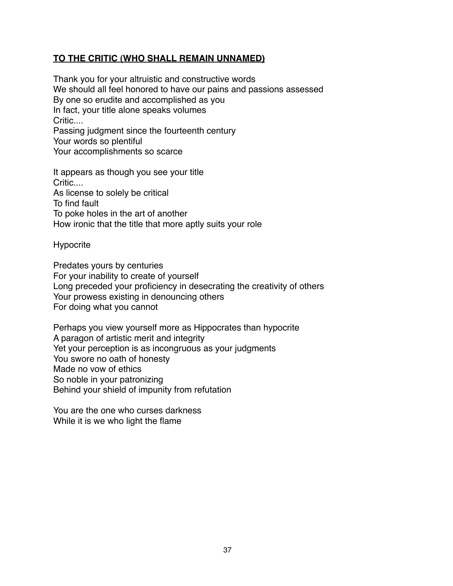## **TO THE CRITIC (WHO SHALL REMAIN UNNAMED)**

Thank you for your altruistic and constructive words We should all feel honored to have our pains and passions assessed By one so erudite and accomplished as you In fact, your title alone speaks volumes Critic.... Passing judgment since the fourteenth century Your words so plentiful Your accomplishments so scarce

It appears as though you see your title Critic.... As license to solely be critical To find fault To poke holes in the art of another How ironic that the title that more aptly suits your role

Hypocrite

Predates yours by centuries For your inability to create of yourself Long preceded your proficiency in desecrating the creativity of others Your prowess existing in denouncing others For doing what you cannot

Perhaps you view yourself more as Hippocrates than hypocrite A paragon of artistic merit and integrity Yet your perception is as incongruous as your judgments You swore no oath of honesty Made no vow of ethics So noble in your patronizing Behind your shield of impunity from refutation

You are the one who curses darkness While it is we who light the flame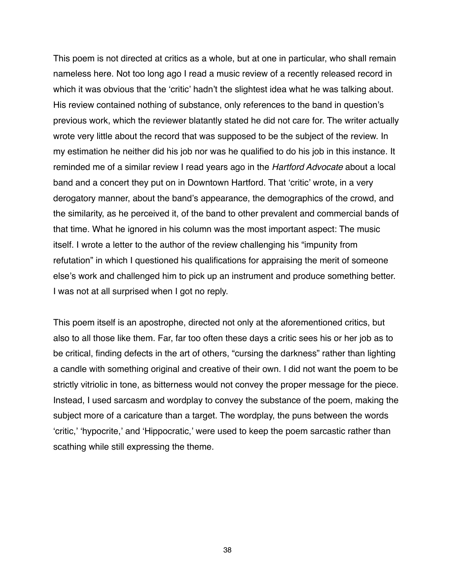This poem is not directed at critics as a whole, but at one in particular, who shall remain nameless here. Not too long ago I read a music review of a recently released record in which it was obvious that the ʻcritic' hadn't the slightest idea what he was talking about. His review contained nothing of substance, only references to the band in question's previous work, which the reviewer blatantly stated he did not care for. The writer actually wrote very little about the record that was supposed to be the subject of the review. In my estimation he neither did his job nor was he qualified to do his job in this instance. It reminded me of a similar review I read years ago in the *Hartford Advocate* about a local band and a concert they put on in Downtown Hartford. That ʻcritic' wrote, in a very derogatory manner, about the band's appearance, the demographics of the crowd, and the similarity, as he perceived it, of the band to other prevalent and commercial bands of that time. What he ignored in his column was the most important aspect: The music itself. I wrote a letter to the author of the review challenging his "impunity from refutation" in which I questioned his qualifications for appraising the merit of someone else's work and challenged him to pick up an instrument and produce something better. I was not at all surprised when I got no reply.

This poem itself is an apostrophe, directed not only at the aforementioned critics, but also to all those like them. Far, far too often these days a critic sees his or her job as to be critical, finding defects in the art of others, "cursing the darkness" rather than lighting a candle with something original and creative of their own. I did not want the poem to be strictly vitriolic in tone, as bitterness would not convey the proper message for the piece. Instead, I used sarcasm and wordplay to convey the substance of the poem, making the subject more of a caricature than a target. The wordplay, the puns between the words ʻcritic,' ʻhypocrite,' and ʻHippocratic,' were used to keep the poem sarcastic rather than scathing while still expressing the theme.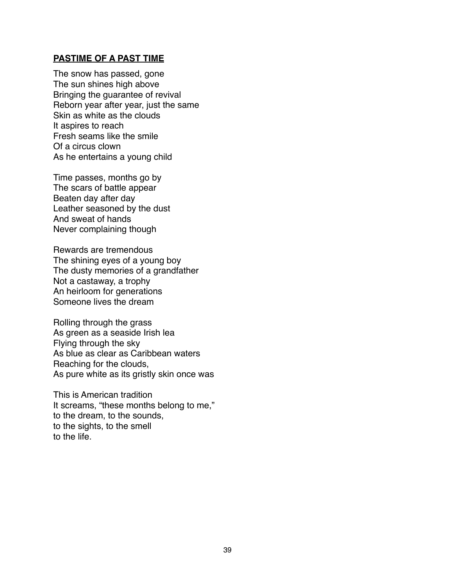#### **PASTIME OF A PAST TIME**

The snow has passed, gone The sun shines high above Bringing the guarantee of revival Reborn year after year, just the same Skin as white as the clouds It aspires to reach Fresh seams like the smile Of a circus clown As he entertains a young child

Time passes, months go by The scars of battle appear Beaten day after day Leather seasoned by the dust And sweat of hands Never complaining though

Rewards are tremendous The shining eyes of a young boy The dusty memories of a grandfather Not a castaway, a trophy An heirloom for generations Someone lives the dream

Rolling through the grass As green as a seaside Irish lea Flying through the sky As blue as clear as Caribbean waters Reaching for the clouds, As pure white as its gristly skin once was

This is American tradition It screams, "these months belong to me," to the dream, to the sounds, to the sights, to the smell to the life.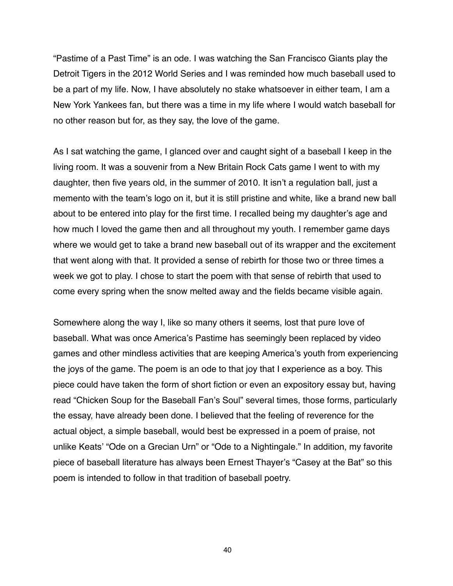"Pastime of a Past Time" is an ode. I was watching the San Francisco Giants play the Detroit Tigers in the 2012 World Series and I was reminded how much baseball used to be a part of my life. Now, I have absolutely no stake whatsoever in either team, I am a New York Yankees fan, but there was a time in my life where I would watch baseball for no other reason but for, as they say, the love of the game.

As I sat watching the game, I glanced over and caught sight of a baseball I keep in the living room. It was a souvenir from a New Britain Rock Cats game I went to with my daughter, then five years old, in the summer of 2010. It isn't a regulation ball, just a memento with the team's logo on it, but it is still pristine and white, like a brand new ball about to be entered into play for the first time. I recalled being my daughter's age and how much I loved the game then and all throughout my youth. I remember game days where we would get to take a brand new baseball out of its wrapper and the excitement that went along with that. It provided a sense of rebirth for those two or three times a week we got to play. I chose to start the poem with that sense of rebirth that used to come every spring when the snow melted away and the fields became visible again.

Somewhere along the way I, like so many others it seems, lost that pure love of baseball. What was once America's Pastime has seemingly been replaced by video games and other mindless activities that are keeping America's youth from experiencing the joys of the game. The poem is an ode to that joy that I experience as a boy. This piece could have taken the form of short fiction or even an expository essay but, having read "Chicken Soup for the Baseball Fan's Soul" several times, those forms, particularly the essay, have already been done. I believed that the feeling of reverence for the actual object, a simple baseball, would best be expressed in a poem of praise, not unlike Keats' "Ode on a Grecian Urn" or "Ode to a Nightingale." In addition, my favorite piece of baseball literature has always been Ernest Thayer's "Casey at the Bat" so this poem is intended to follow in that tradition of baseball poetry.

40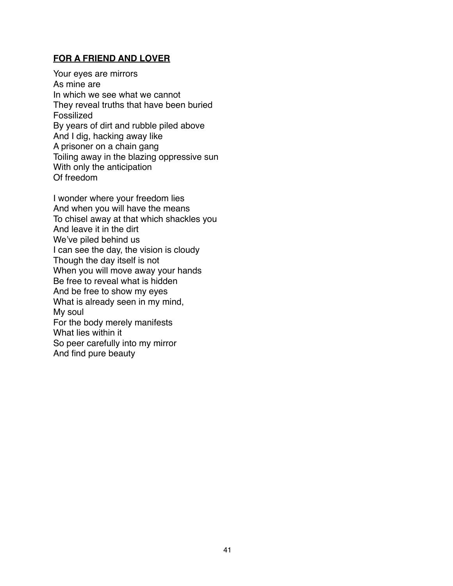## **FOR A FRIEND AND LOVER**

Your eyes are mirrors As mine are In which we see what we cannot They reveal truths that have been buried Fossilized By years of dirt and rubble piled above And I dig, hacking away like A prisoner on a chain gang Toiling away in the blazing oppressive sun With only the anticipation Of freedom

I wonder where your freedom lies And when you will have the means To chisel away at that which shackles you And leave it in the dirt We've piled behind us I can see the day, the vision is cloudy Though the day itself is not When you will move away your hands Be free to reveal what is hidden And be free to show my eyes What is already seen in my mind, My soul For the body merely manifests What lies within it So peer carefully into my mirror And find pure beauty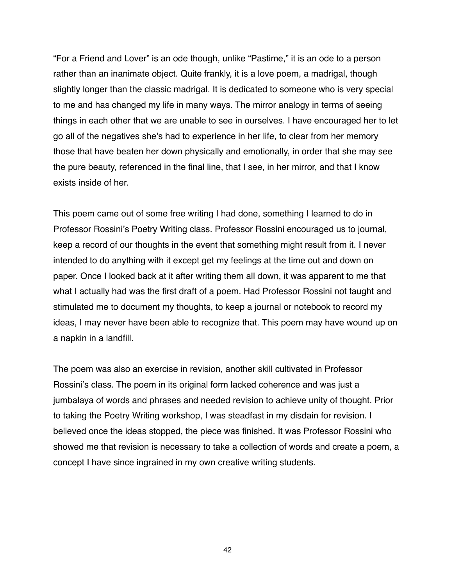"For a Friend and Lover" is an ode though, unlike "Pastime," it is an ode to a person rather than an inanimate object. Quite frankly, it is a love poem, a madrigal, though slightly longer than the classic madrigal. It is dedicated to someone who is very special to me and has changed my life in many ways. The mirror analogy in terms of seeing things in each other that we are unable to see in ourselves. I have encouraged her to let go all of the negatives she's had to experience in her life, to clear from her memory those that have beaten her down physically and emotionally, in order that she may see the pure beauty, referenced in the final line, that I see, in her mirror, and that I know exists inside of her.

This poem came out of some free writing I had done, something I learned to do in Professor Rossini's Poetry Writing class. Professor Rossini encouraged us to journal, keep a record of our thoughts in the event that something might result from it. I never intended to do anything with it except get my feelings at the time out and down on paper. Once I looked back at it after writing them all down, it was apparent to me that what I actually had was the first draft of a poem. Had Professor Rossini not taught and stimulated me to document my thoughts, to keep a journal or notebook to record my ideas, I may never have been able to recognize that. This poem may have wound up on a napkin in a landfill.

The poem was also an exercise in revision, another skill cultivated in Professor Rossini's class. The poem in its original form lacked coherence and was just a jumbalaya of words and phrases and needed revision to achieve unity of thought. Prior to taking the Poetry Writing workshop, I was steadfast in my disdain for revision. I believed once the ideas stopped, the piece was finished. It was Professor Rossini who showed me that revision is necessary to take a collection of words and create a poem, a concept I have since ingrained in my own creative writing students.

42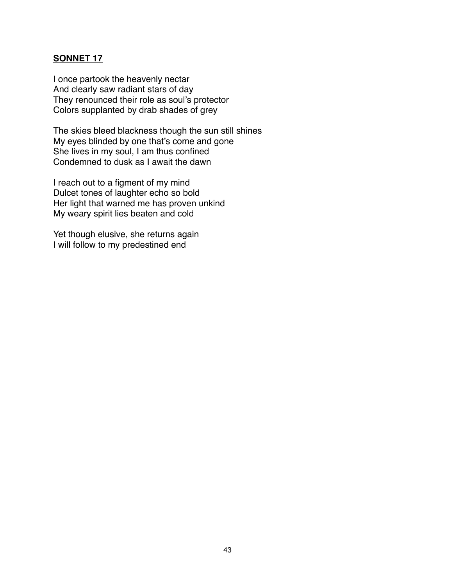## **SONNET 17**

I once partook the heavenly nectar And clearly saw radiant stars of day They renounced their role as soul's protector Colors supplanted by drab shades of grey

The skies bleed blackness though the sun still shines My eyes blinded by one that's come and gone She lives in my soul, I am thus confined Condemned to dusk as I await the dawn

I reach out to a figment of my mind Dulcet tones of laughter echo so bold Her light that warned me has proven unkind My weary spirit lies beaten and cold

Yet though elusive, she returns again I will follow to my predestined end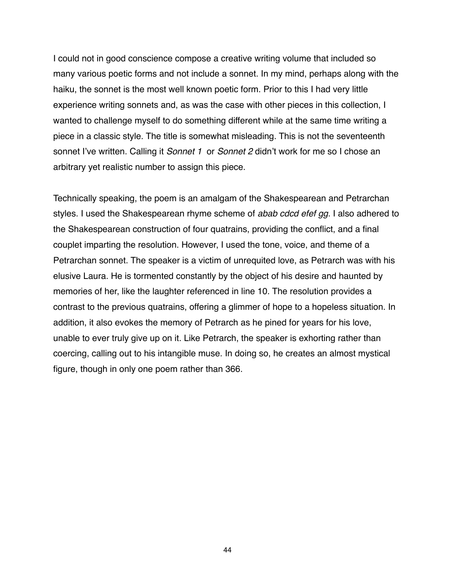I could not in good conscience compose a creative writing volume that included so many various poetic forms and not include a sonnet. In my mind, perhaps along with the haiku, the sonnet is the most well known poetic form. Prior to this I had very little experience writing sonnets and, as was the case with other pieces in this collection, I wanted to challenge myself to do something different while at the same time writing a piece in a classic style. The title is somewhat misleading. This is not the seventeenth sonnet I've written. Calling it *Sonnet 1* or *Sonnet 2* didn't work for me so I chose an arbitrary yet realistic number to assign this piece.

Technically speaking, the poem is an amalgam of the Shakespearean and Petrarchan styles. I used the Shakespearean rhyme scheme of *abab cdcd efef gg*. I also adhered to the Shakespearean construction of four quatrains, providing the conflict, and a final couplet imparting the resolution. However, I used the tone, voice, and theme of a Petrarchan sonnet. The speaker is a victim of unrequited love, as Petrarch was with his elusive Laura. He is tormented constantly by the object of his desire and haunted by memories of her, like the laughter referenced in line 10. The resolution provides a contrast to the previous quatrains, offering a glimmer of hope to a hopeless situation. In addition, it also evokes the memory of Petrarch as he pined for years for his love, unable to ever truly give up on it. Like Petrarch, the speaker is exhorting rather than coercing, calling out to his intangible muse. In doing so, he creates an almost mystical figure, though in only one poem rather than 366.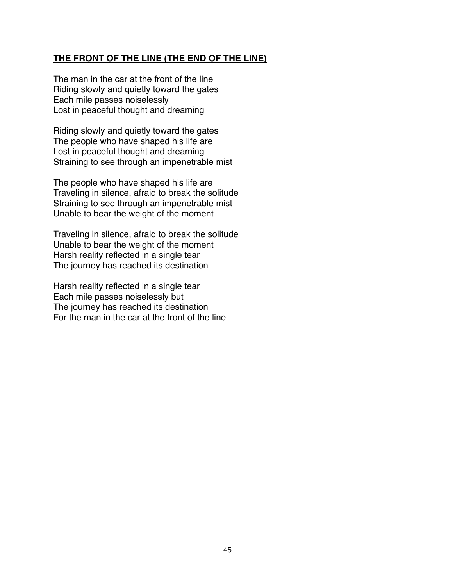## **THE FRONT OF THE LINE (THE END OF THE LINE)**

The man in the car at the front of the line Riding slowly and quietly toward the gates Each mile passes noiselessly Lost in peaceful thought and dreaming

Riding slowly and quietly toward the gates The people who have shaped his life are Lost in peaceful thought and dreaming Straining to see through an impenetrable mist

The people who have shaped his life are Traveling in silence, afraid to break the solitude Straining to see through an impenetrable mist Unable to bear the weight of the moment

Traveling in silence, afraid to break the solitude Unable to bear the weight of the moment Harsh reality reflected in a single tear The journey has reached its destination

Harsh reality reflected in a single tear Each mile passes noiselessly but The journey has reached its destination For the man in the car at the front of the line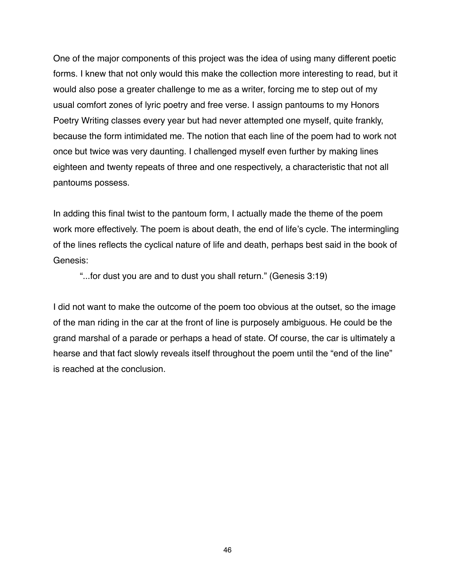One of the major components of this project was the idea of using many different poetic forms. I knew that not only would this make the collection more interesting to read, but it would also pose a greater challenge to me as a writer, forcing me to step out of my usual comfort zones of lyric poetry and free verse. I assign pantoums to my Honors Poetry Writing classes every year but had never attempted one myself, quite frankly, because the form intimidated me. The notion that each line of the poem had to work not once but twice was very daunting. I challenged myself even further by making lines eighteen and twenty repeats of three and one respectively, a characteristic that not all pantoums possess.

In adding this final twist to the pantoum form, I actually made the theme of the poem work more effectively. The poem is about death, the end of life's cycle. The intermingling of the lines reflects the cyclical nature of life and death, perhaps best said in the book of Genesis:

"...for dust you are and to dust you shall return." (Genesis 3:19)

I did not want to make the outcome of the poem too obvious at the outset, so the image of the man riding in the car at the front of line is purposely ambiguous. He could be the grand marshal of a parade or perhaps a head of state. Of course, the car is ultimately a hearse and that fact slowly reveals itself throughout the poem until the "end of the line" is reached at the conclusion.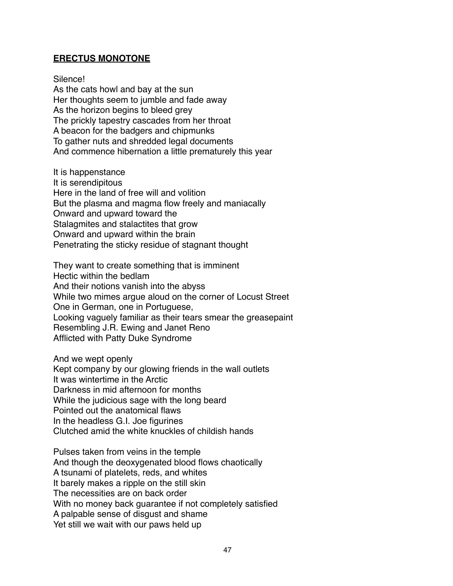## **ERECTUS MONOTONE**

Silence! As the cats howl and bay at the sun Her thoughts seem to jumble and fade away As the horizon begins to bleed grey The prickly tapestry cascades from her throat A beacon for the badgers and chipmunks To gather nuts and shredded legal documents And commence hibernation a little prematurely this year

It is happenstance It is serendipitous Here in the land of free will and volition But the plasma and magma flow freely and maniacally Onward and upward toward the Stalagmites and stalactites that grow Onward and upward within the brain Penetrating the sticky residue of stagnant thought

They want to create something that is imminent Hectic within the bedlam And their notions vanish into the abyss While two mimes argue aloud on the corner of Locust Street One in German, one in Portuguese, Looking vaguely familiar as their tears smear the greasepaint Resembling J.R. Ewing and Janet Reno Afflicted with Patty Duke Syndrome

And we wept openly Kept company by our glowing friends in the wall outlets It was wintertime in the Arctic Darkness in mid afternoon for months While the judicious sage with the long beard Pointed out the anatomical flaws In the headless G.I. Joe figurines Clutched amid the white knuckles of childish hands

Pulses taken from veins in the temple And though the deoxygenated blood flows chaotically A tsunami of platelets, reds, and whites It barely makes a ripple on the still skin The necessities are on back order With no money back guarantee if not completely satisfied A palpable sense of disgust and shame Yet still we wait with our paws held up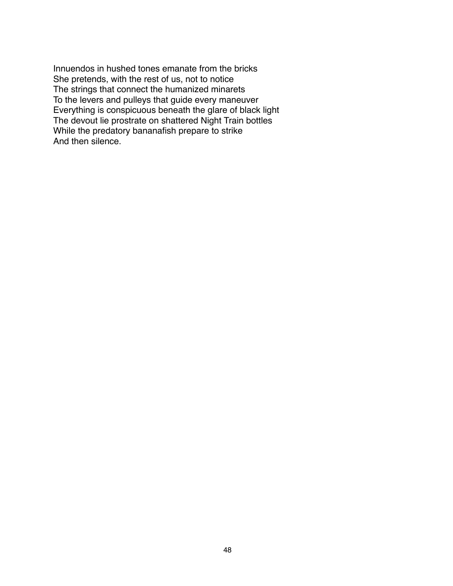Innuendos in hushed tones emanate from the bricks She pretends, with the rest of us, not to notice The strings that connect the humanized minarets To the levers and pulleys that guide every maneuver Everything is conspicuous beneath the glare of black light The devout lie prostrate on shattered Night Train bottles While the predatory bananafish prepare to strike And then silence.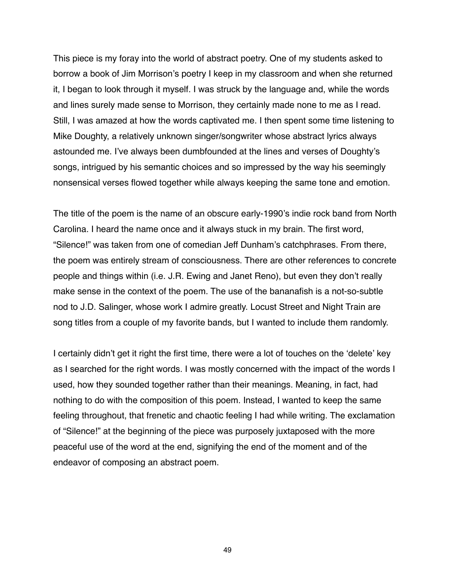This piece is my foray into the world of abstract poetry. One of my students asked to borrow a book of Jim Morrison's poetry I keep in my classroom and when she returned it, I began to look through it myself. I was struck by the language and, while the words and lines surely made sense to Morrison, they certainly made none to me as I read. Still, I was amazed at how the words captivated me. I then spent some time listening to Mike Doughty, a relatively unknown singer/songwriter whose abstract lyrics always astounded me. I've always been dumbfounded at the lines and verses of Doughty's songs, intrigued by his semantic choices and so impressed by the way his seemingly nonsensical verses flowed together while always keeping the same tone and emotion.

The title of the poem is the name of an obscure early-1990's indie rock band from North Carolina. I heard the name once and it always stuck in my brain. The first word, "Silence!" was taken from one of comedian Jeff Dunham's catchphrases. From there, the poem was entirely stream of consciousness. There are other references to concrete people and things within (i.e. J.R. Ewing and Janet Reno), but even they don't really make sense in the context of the poem. The use of the bananafish is a not-so-subtle nod to J.D. Salinger, whose work I admire greatly. Locust Street and Night Train are song titles from a couple of my favorite bands, but I wanted to include them randomly.

I certainly didn't get it right the first time, there were a lot of touches on the ʻdelete' key as I searched for the right words. I was mostly concerned with the impact of the words I used, how they sounded together rather than their meanings. Meaning, in fact, had nothing to do with the composition of this poem. Instead, I wanted to keep the same feeling throughout, that frenetic and chaotic feeling I had while writing. The exclamation of "Silence!" at the beginning of the piece was purposely juxtaposed with the more peaceful use of the word at the end, signifying the end of the moment and of the endeavor of composing an abstract poem.

49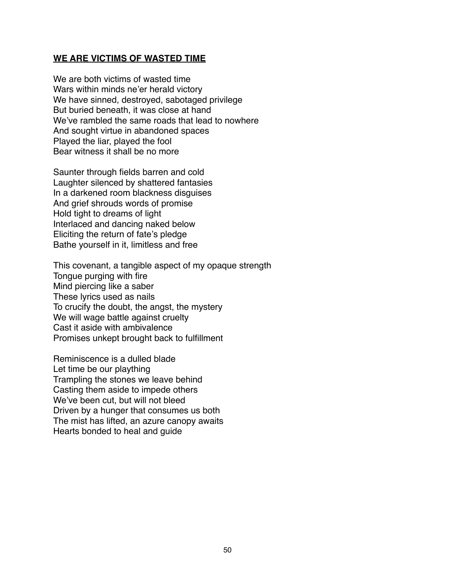#### **WE ARE VICTIMS OF WASTED TIME**

We are both victims of wasted time Wars within minds ne'er herald victory We have sinned, destroyed, sabotaged privilege But buried beneath, it was close at hand We've rambled the same roads that lead to nowhere And sought virtue in abandoned spaces Played the liar, played the fool Bear witness it shall be no more

Saunter through fields barren and cold Laughter silenced by shattered fantasies In a darkened room blackness disguises And grief shrouds words of promise Hold tight to dreams of light Interlaced and dancing naked below Eliciting the return of fate's pledge Bathe yourself in it, limitless and free

This covenant, a tangible aspect of my opaque strength Tongue purging with fire Mind piercing like a saber These lyrics used as nails To crucify the doubt, the angst, the mystery We will wage battle against cruelty Cast it aside with ambivalence Promises unkept brought back to fulfillment

Reminiscence is a dulled blade Let time be our plaything Trampling the stones we leave behind Casting them aside to impede others We've been cut, but will not bleed Driven by a hunger that consumes us both The mist has lifted, an azure canopy awaits Hearts bonded to heal and guide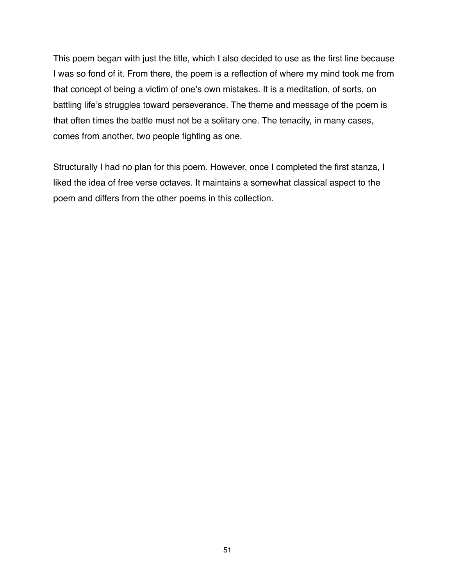This poem began with just the title, which I also decided to use as the first line because I was so fond of it. From there, the poem is a reflection of where my mind took me from that concept of being a victim of one's own mistakes. It is a meditation, of sorts, on battling life's struggles toward perseverance. The theme and message of the poem is that often times the battle must not be a solitary one. The tenacity, in many cases, comes from another, two people fighting as one.

Structurally I had no plan for this poem. However, once I completed the first stanza, I liked the idea of free verse octaves. It maintains a somewhat classical aspect to the poem and differs from the other poems in this collection.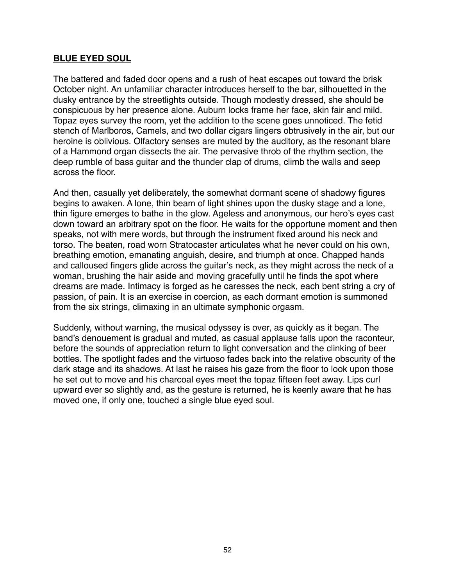## **BLUE EYED SOUL**

The battered and faded door opens and a rush of heat escapes out toward the brisk October night. An unfamiliar character introduces herself to the bar, silhouetted in the dusky entrance by the streetlights outside. Though modestly dressed, she should be conspicuous by her presence alone. Auburn locks frame her face, skin fair and mild. Topaz eyes survey the room, yet the addition to the scene goes unnoticed. The fetid stench of Marlboros, Camels, and two dollar cigars lingers obtrusively in the air, but our heroine is oblivious. Olfactory senses are muted by the auditory, as the resonant blare of a Hammond organ dissects the air. The pervasive throb of the rhythm section, the deep rumble of bass guitar and the thunder clap of drums, climb the walls and seep across the floor.

And then, casually yet deliberately, the somewhat dormant scene of shadowy figures begins to awaken. A lone, thin beam of light shines upon the dusky stage and a lone, thin figure emerges to bathe in the glow. Ageless and anonymous, our hero's eyes cast down toward an arbitrary spot on the floor. He waits for the opportune moment and then speaks, not with mere words, but through the instrument fixed around his neck and torso. The beaten, road worn Stratocaster articulates what he never could on his own, breathing emotion, emanating anguish, desire, and triumph at once. Chapped hands and calloused fingers glide across the guitar's neck, as they might across the neck of a woman, brushing the hair aside and moving gracefully until he finds the spot where dreams are made. Intimacy is forged as he caresses the neck, each bent string a cry of passion, of pain. It is an exercise in coercion, as each dormant emotion is summoned from the six strings, climaxing in an ultimate symphonic orgasm.

Suddenly, without warning, the musical odyssey is over, as quickly as it began. The band's denouement is gradual and muted, as casual applause falls upon the raconteur, before the sounds of appreciation return to light conversation and the clinking of beer bottles. The spotlight fades and the virtuoso fades back into the relative obscurity of the dark stage and its shadows. At last he raises his gaze from the floor to look upon those he set out to move and his charcoal eyes meet the topaz fifteen feet away. Lips curl upward ever so slightly and, as the gesture is returned, he is keenly aware that he has moved one, if only one, touched a single blue eyed soul.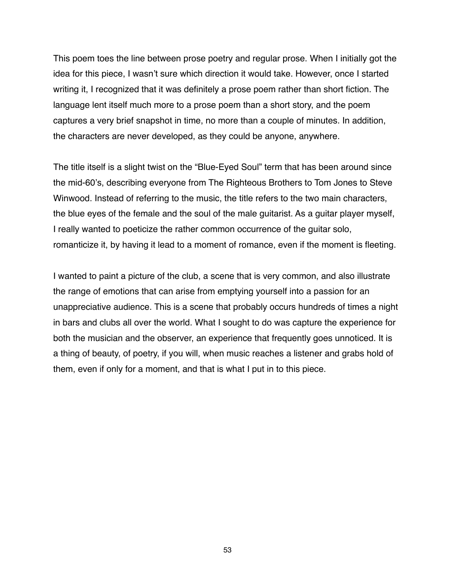This poem toes the line between prose poetry and regular prose. When I initially got the idea for this piece, I wasn't sure which direction it would take. However, once I started writing it, I recognized that it was definitely a prose poem rather than short fiction. The language lent itself much more to a prose poem than a short story, and the poem captures a very brief snapshot in time, no more than a couple of minutes. In addition, the characters are never developed, as they could be anyone, anywhere.

The title itself is a slight twist on the "Blue-Eyed Soul" term that has been around since the mid-60's, describing everyone from The Righteous Brothers to Tom Jones to Steve Winwood. Instead of referring to the music, the title refers to the two main characters, the blue eyes of the female and the soul of the male guitarist. As a guitar player myself, I really wanted to poeticize the rather common occurrence of the guitar solo, romanticize it, by having it lead to a moment of romance, even if the moment is fleeting.

I wanted to paint a picture of the club, a scene that is very common, and also illustrate the range of emotions that can arise from emptying yourself into a passion for an unappreciative audience. This is a scene that probably occurs hundreds of times a night in bars and clubs all over the world. What I sought to do was capture the experience for both the musician and the observer, an experience that frequently goes unnoticed. It is a thing of beauty, of poetry, if you will, when music reaches a listener and grabs hold of them, even if only for a moment, and that is what I put in to this piece.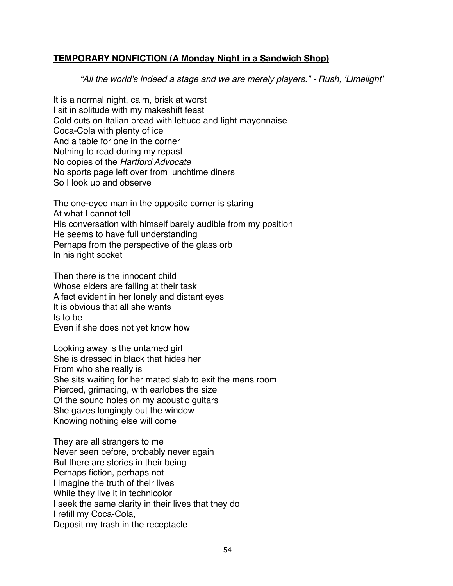## **TEMPORARY NONFICTION (A Monday Night in a Sandwich Shop)**

*"All the world*'*s indeed a stage and we are merely players." - Rush,* ʻ*Limelight*'

It is a normal night, calm, brisk at worst I sit in solitude with my makeshift feast Cold cuts on Italian bread with lettuce and light mayonnaise Coca-Cola with plenty of ice And a table for one in the corner Nothing to read during my repast No copies of the *Hartford Advocate* No sports page left over from lunchtime diners So I look up and observe

The one-eyed man in the opposite corner is staring At what I cannot tell His conversation with himself barely audible from my position He seems to have full understanding Perhaps from the perspective of the glass orb In his right socket

Then there is the innocent child Whose elders are failing at their task A fact evident in her lonely and distant eyes It is obvious that all she wants Is to be Even if she does not yet know how

Looking away is the untamed girl She is dressed in black that hides her From who she really is She sits waiting for her mated slab to exit the mens room Pierced, grimacing, with earlobes the size Of the sound holes on my acoustic guitars She gazes longingly out the window Knowing nothing else will come

They are all strangers to me Never seen before, probably never again But there are stories in their being Perhaps fiction, perhaps not I imagine the truth of their lives While they live it in technicolor I seek the same clarity in their lives that they do I refill my Coca-Cola, Deposit my trash in the receptacle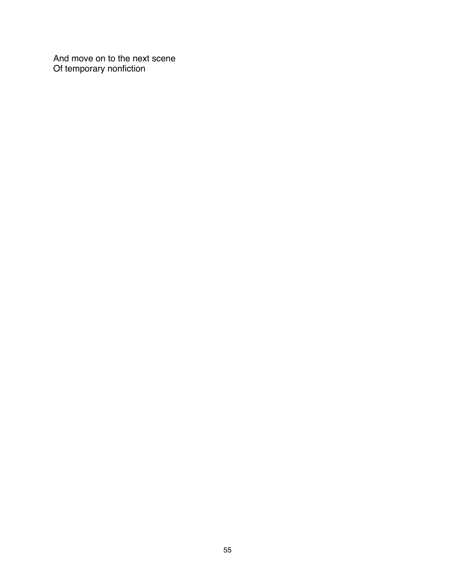And move on to the next scene Of temporary nonfiction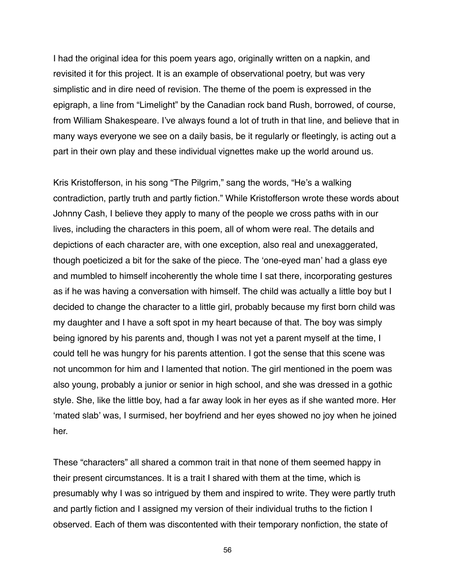I had the original idea for this poem years ago, originally written on a napkin, and revisited it for this project. It is an example of observational poetry, but was very simplistic and in dire need of revision. The theme of the poem is expressed in the epigraph, a line from "Limelight" by the Canadian rock band Rush, borrowed, of course, from William Shakespeare. I've always found a lot of truth in that line, and believe that in many ways everyone we see on a daily basis, be it regularly or fleetingly, is acting out a part in their own play and these individual vignettes make up the world around us.

Kris Kristofferson, in his song "The Pilgrim," sang the words, "He's a walking contradiction, partly truth and partly fiction." While Kristofferson wrote these words about Johnny Cash, I believe they apply to many of the people we cross paths with in our lives, including the characters in this poem, all of whom were real. The details and depictions of each character are, with one exception, also real and unexaggerated, though poeticized a bit for the sake of the piece. The ʻone-eyed man' had a glass eye and mumbled to himself incoherently the whole time I sat there, incorporating gestures as if he was having a conversation with himself. The child was actually a little boy but I decided to change the character to a little girl, probably because my first born child was my daughter and I have a soft spot in my heart because of that. The boy was simply being ignored by his parents and, though I was not yet a parent myself at the time, I could tell he was hungry for his parents attention. I got the sense that this scene was not uncommon for him and I lamented that notion. The girl mentioned in the poem was also young, probably a junior or senior in high school, and she was dressed in a gothic style. She, like the little boy, had a far away look in her eyes as if she wanted more. Her ʻmated slab' was, I surmised, her boyfriend and her eyes showed no joy when he joined her.

These "characters" all shared a common trait in that none of them seemed happy in their present circumstances. It is a trait I shared with them at the time, which is presumably why I was so intrigued by them and inspired to write. They were partly truth and partly fiction and I assigned my version of their individual truths to the fiction I observed. Each of them was discontented with their temporary nonfiction, the state of

56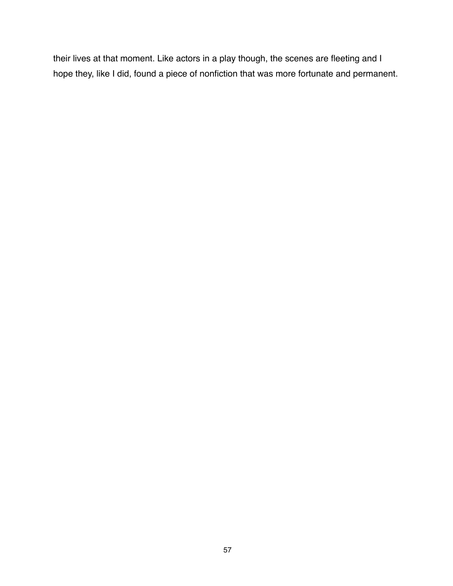their lives at that moment. Like actors in a play though, the scenes are fleeting and I hope they, like I did, found a piece of nonfiction that was more fortunate and permanent.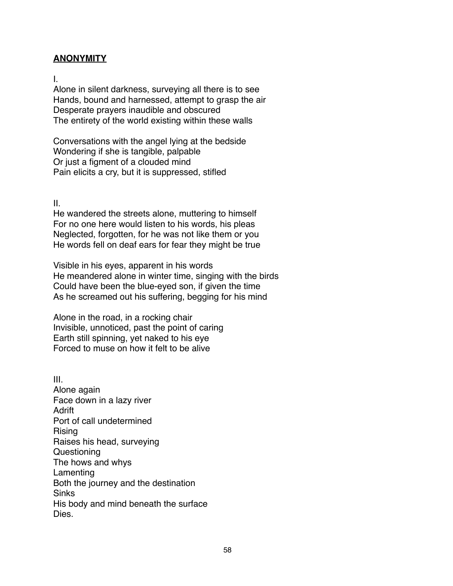## **ANONYMITY**

I.

Alone in silent darkness, surveying all there is to see Hands, bound and harnessed, attempt to grasp the air Desperate prayers inaudible and obscured The entirety of the world existing within these walls

Conversations with the angel lying at the bedside Wondering if she is tangible, palpable Or just a figment of a clouded mind Pain elicits a cry, but it is suppressed, stifled

II.

He wandered the streets alone, muttering to himself For no one here would listen to his words, his pleas Neglected, forgotten, for he was not like them or you He words fell on deaf ears for fear they might be true

Visible in his eyes, apparent in his words He meandered alone in winter time, singing with the birds Could have been the blue-eyed son, if given the time As he screamed out his suffering, begging for his mind

Alone in the road, in a rocking chair Invisible, unnoticed, past the point of caring Earth still spinning, yet naked to his eye Forced to muse on how it felt to be alive

III. Alone again Face down in a lazy river Adrift Port of call undetermined Rising Raises his head, surveying **Questioning** The hows and whys **Lamenting** Both the journey and the destination **Sinks** His body and mind beneath the surface Dies.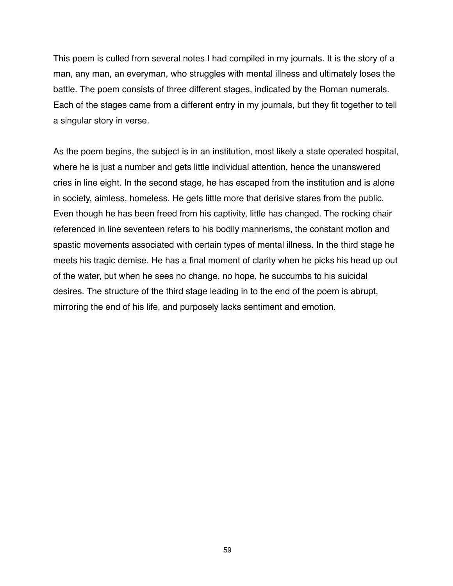This poem is culled from several notes I had compiled in my journals. It is the story of a man, any man, an everyman, who struggles with mental illness and ultimately loses the battle. The poem consists of three different stages, indicated by the Roman numerals. Each of the stages came from a different entry in my journals, but they fit together to tell a singular story in verse.

As the poem begins, the subject is in an institution, most likely a state operated hospital, where he is just a number and gets little individual attention, hence the unanswered cries in line eight. In the second stage, he has escaped from the institution and is alone in society, aimless, homeless. He gets little more that derisive stares from the public. Even though he has been freed from his captivity, little has changed. The rocking chair referenced in line seventeen refers to his bodily mannerisms, the constant motion and spastic movements associated with certain types of mental illness. In the third stage he meets his tragic demise. He has a final moment of clarity when he picks his head up out of the water, but when he sees no change, no hope, he succumbs to his suicidal desires. The structure of the third stage leading in to the end of the poem is abrupt, mirroring the end of his life, and purposely lacks sentiment and emotion.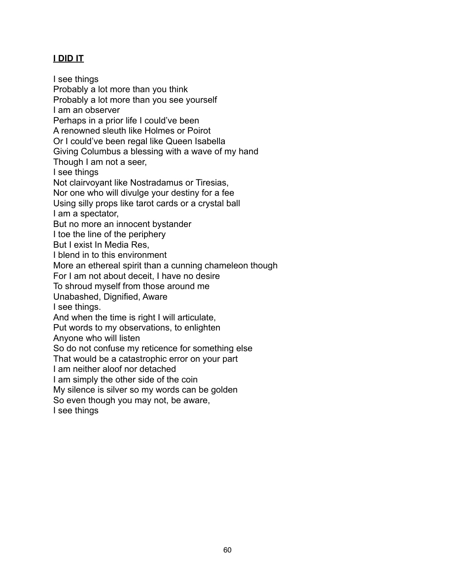# **I DID IT**

I see things Probably a lot more than you think Probably a lot more than you see yourself I am an observer Perhaps in a prior life I could've been A renowned sleuth like Holmes or Poirot Or I could've been regal like Queen Isabella Giving Columbus a blessing with a wave of my hand Though I am not a seer, I see things Not clairvoyant like Nostradamus or Tiresias, Nor one who will divulge your destiny for a fee Using silly props like tarot cards or a crystal ball I am a spectator, But no more an innocent bystander I toe the line of the periphery But I exist In Media Res, I blend in to this environment More an ethereal spirit than a cunning chameleon though For I am not about deceit, I have no desire To shroud myself from those around me Unabashed, Dignified, Aware I see things. And when the time is right I will articulate, Put words to my observations, to enlighten Anyone who will listen So do not confuse my reticence for something else That would be a catastrophic error on your part I am neither aloof nor detached I am simply the other side of the coin My silence is silver so my words can be golden So even though you may not, be aware, I see things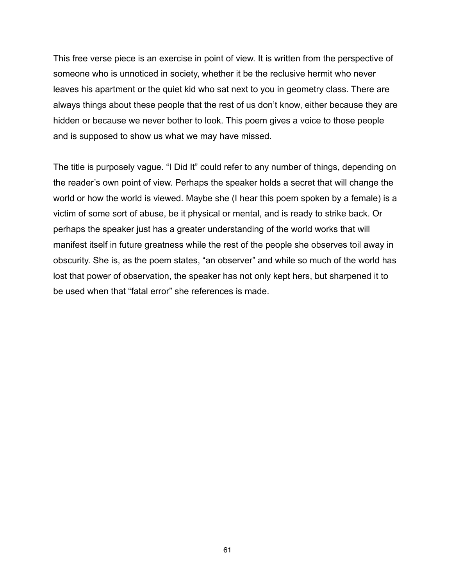This free verse piece is an exercise in point of view. It is written from the perspective of someone who is unnoticed in society, whether it be the reclusive hermit who never leaves his apartment or the quiet kid who sat next to you in geometry class. There are always things about these people that the rest of us don't know, either because they are hidden or because we never bother to look. This poem gives a voice to those people and is supposed to show us what we may have missed.

The title is purposely vague. "I Did It" could refer to any number of things, depending on the reader's own point of view. Perhaps the speaker holds a secret that will change the world or how the world is viewed. Maybe she (I hear this poem spoken by a female) is a victim of some sort of abuse, be it physical or mental, and is ready to strike back. Or perhaps the speaker just has a greater understanding of the world works that will manifest itself in future greatness while the rest of the people she observes toil away in obscurity. She is, as the poem states, "an observer" and while so much of the world has lost that power of observation, the speaker has not only kept hers, but sharpened it to be used when that "fatal error" she references is made.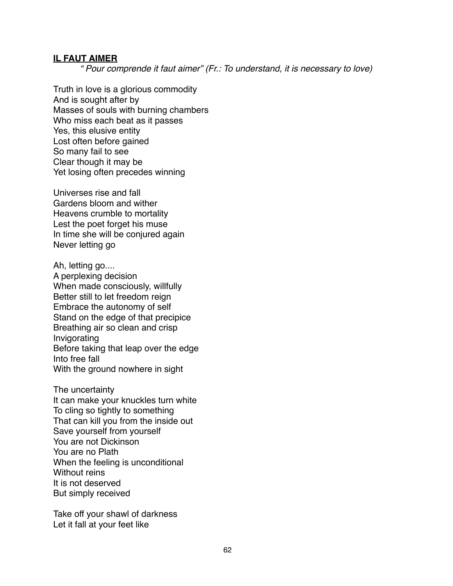#### **IL FAUT AIMER**

*" Pour comprende it faut aimer" (Fr.: To understand, it is necessary to love)*

Truth in love is a glorious commodity And is sought after by Masses of souls with burning chambers Who miss each beat as it passes Yes, this elusive entity Lost often before gained So many fail to see Clear though it may be Yet losing often precedes winning

Universes rise and fall Gardens bloom and wither Heavens crumble to mortality Lest the poet forget his muse In time she will be conjured again Never letting go

Ah, letting go.... A perplexing decision When made consciously, willfully Better still to let freedom reign Embrace the autonomy of self Stand on the edge of that precipice Breathing air so clean and crisp Invigorating Before taking that leap over the edge Into free fall With the ground nowhere in sight

The uncertainty It can make your knuckles turn white To cling so tightly to something That can kill you from the inside out Save yourself from yourself You are not Dickinson You are no Plath When the feeling is unconditional Without reins It is not deserved But simply received

Take off your shawl of darkness Let it fall at your feet like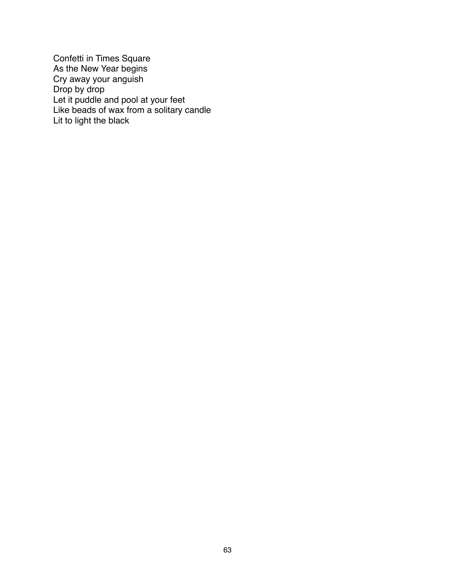Confetti in Times Square As the New Year begins Cry away your anguish Drop by drop Let it puddle and pool at your feet Like beads of wax from a solitary candle Lit to light the black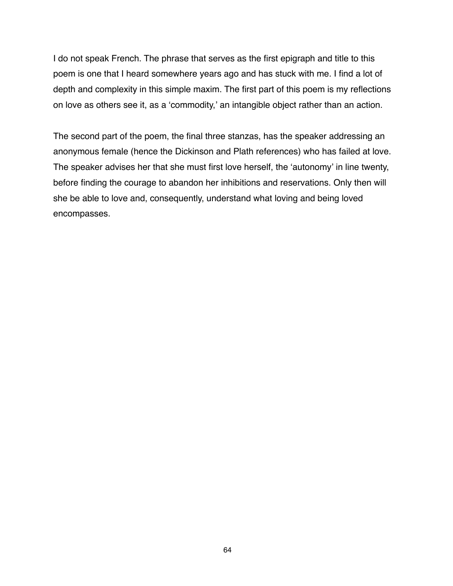I do not speak French. The phrase that serves as the first epigraph and title to this poem is one that I heard somewhere years ago and has stuck with me. I find a lot of depth and complexity in this simple maxim. The first part of this poem is my reflections on love as others see it, as a ʻcommodity,' an intangible object rather than an action.

The second part of the poem, the final three stanzas, has the speaker addressing an anonymous female (hence the Dickinson and Plath references) who has failed at love. The speaker advises her that she must first love herself, the ʻautonomy' in line twenty, before finding the courage to abandon her inhibitions and reservations. Only then will she be able to love and, consequently, understand what loving and being loved encompasses.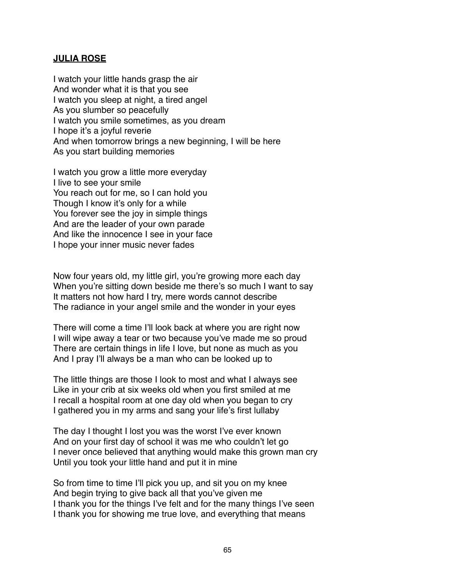## **JULIA ROSE**

I watch your little hands grasp the air And wonder what it is that you see I watch you sleep at night, a tired angel As you slumber so peacefully I watch you smile sometimes, as you dream I hope it's a joyful reverie And when tomorrow brings a new beginning, I will be here As you start building memories

I watch you grow a little more everyday I live to see your smile You reach out for me, so I can hold you Though I know it's only for a while You forever see the joy in simple things And are the leader of your own parade And like the innocence I see in your face I hope your inner music never fades

Now four years old, my little girl, you're growing more each day When you're sitting down beside me there's so much I want to say It matters not how hard I try, mere words cannot describe The radiance in your angel smile and the wonder in your eyes

There will come a time I'll look back at where you are right now I will wipe away a tear or two because you've made me so proud There are certain things in life I love, but none as much as you And I pray I'll always be a man who can be looked up to

The little things are those I look to most and what I always see Like in your crib at six weeks old when you first smiled at me I recall a hospital room at one day old when you began to cry I gathered you in my arms and sang your life's first lullaby

The day I thought I lost you was the worst I've ever known And on your first day of school it was me who couldn't let go I never once believed that anything would make this grown man cry Until you took your little hand and put it in mine

So from time to time I'll pick you up, and sit you on my knee And begin trying to give back all that you've given me I thank you for the things I've felt and for the many things I've seen I thank you for showing me true love, and everything that means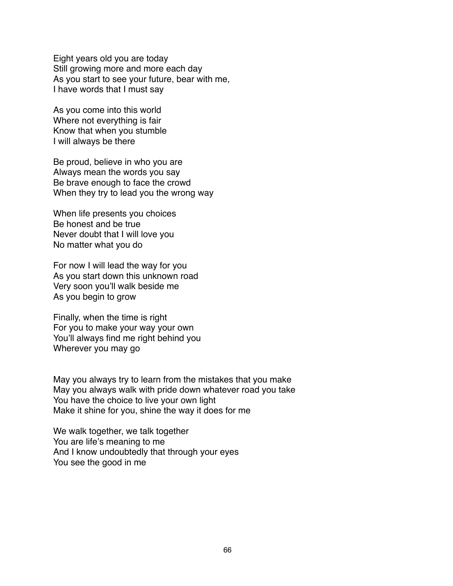Eight years old you are today Still growing more and more each day As you start to see your future, bear with me, I have words that I must say

As you come into this world Where not everything is fair Know that when you stumble I will always be there

Be proud, believe in who you are Always mean the words you say Be brave enough to face the crowd When they try to lead you the wrong way

When life presents you choices Be honest and be true Never doubt that I will love you No matter what you do

For now I will lead the way for you As you start down this unknown road Very soon you'll walk beside me As you begin to grow

Finally, when the time is right For you to make your way your own You'll always find me right behind you Wherever you may go

May you always try to learn from the mistakes that you make May you always walk with pride down whatever road you take You have the choice to live your own light Make it shine for you, shine the way it does for me

We walk together, we talk together You are life's meaning to me And I know undoubtedly that through your eyes You see the good in me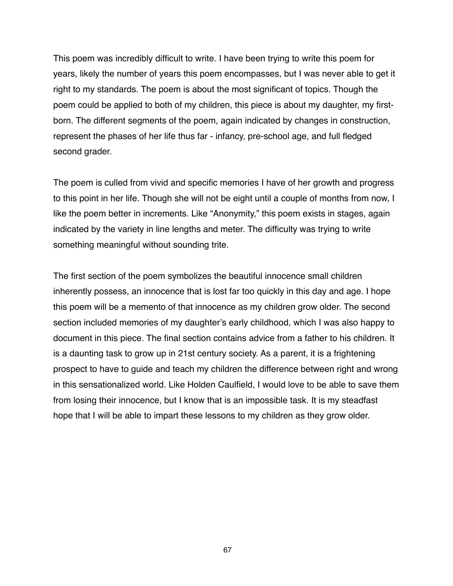This poem was incredibly difficult to write. I have been trying to write this poem for years, likely the number of years this poem encompasses, but I was never able to get it right to my standards. The poem is about the most significant of topics. Though the poem could be applied to both of my children, this piece is about my daughter, my firstborn. The different segments of the poem, again indicated by changes in construction, represent the phases of her life thus far - infancy, pre-school age, and full fledged second grader.

The poem is culled from vivid and specific memories I have of her growth and progress to this point in her life. Though she will not be eight until a couple of months from now, I like the poem better in increments. Like "Anonymity," this poem exists in stages, again indicated by the variety in line lengths and meter. The difficulty was trying to write something meaningful without sounding trite.

The first section of the poem symbolizes the beautiful innocence small children inherently possess, an innocence that is lost far too quickly in this day and age. I hope this poem will be a memento of that innocence as my children grow older. The second section included memories of my daughter's early childhood, which I was also happy to document in this piece. The final section contains advice from a father to his children. It is a daunting task to grow up in 21st century society. As a parent, it is a frightening prospect to have to guide and teach my children the difference between right and wrong in this sensationalized world. Like Holden Caulfield, I would love to be able to save them from losing their innocence, but I know that is an impossible task. It is my steadfast hope that I will be able to impart these lessons to my children as they grow older.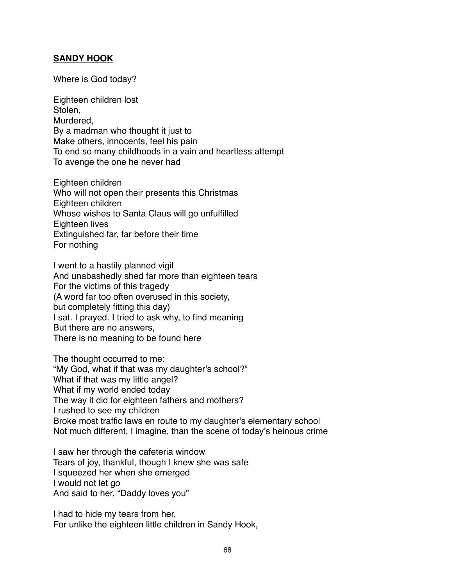## **SANDY HOOK**

Where is God today?

Eighteen children lost Stolen, Murdered, By a madman who thought it just to Make others, innocents, feel his pain To end so many childhoods in a vain and heartless attempt To avenge the one he never had

Eighteen children Who will not open their presents this Christmas Eighteen children Whose wishes to Santa Claus will go unfulfilled Eighteen lives Extinguished far, far before their time For nothing

I went to a hastily planned vigil And unabashedly shed far more than eighteen tears For the victims of this tragedy (A word far too often overused in this society, but completely fitting this day) I sat. I prayed. I tried to ask why, to find meaning But there are no answers, There is no meaning to be found here

The thought occurred to me: "My God, what if that was my daughter's school?" What if that was my little angel? What if my world ended today The way it did for eighteen fathers and mothers? I rushed to see my children Broke most traffic laws en route to my daughter's elementary school Not much different, I imagine, than the scene of today's heinous crime

I saw her through the cafeteria window Tears of joy, thankful, though I knew she was safe I squeezed her when she emerged I would not let go And said to her, "Daddy loves you"

I had to hide my tears from her, For unlike the eighteen little children in Sandy Hook,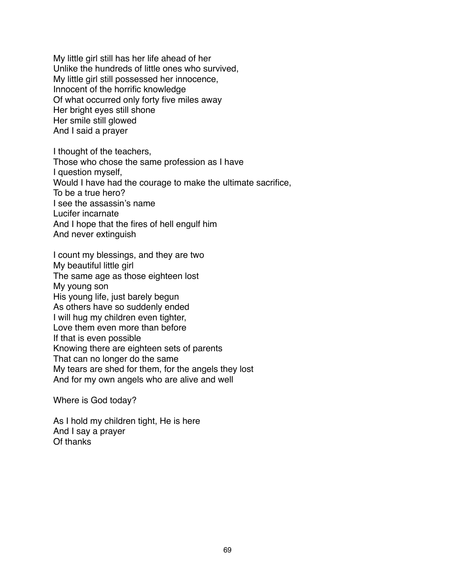My little girl still has her life ahead of her Unlike the hundreds of little ones who survived, My little girl still possessed her innocence, Innocent of the horrific knowledge Of what occurred only forty five miles away Her bright eyes still shone Her smile still glowed And I said a prayer

I thought of the teachers, Those who chose the same profession as I have I question myself, Would I have had the courage to make the ultimate sacrifice, To be a true hero? I see the assassin's name Lucifer incarnate And I hope that the fires of hell engulf him And never extinguish

I count my blessings, and they are two My beautiful little girl The same age as those eighteen lost My young son His young life, just barely begun As others have so suddenly ended I will hug my children even tighter, Love them even more than before If that is even possible Knowing there are eighteen sets of parents That can no longer do the same My tears are shed for them, for the angels they lost And for my own angels who are alive and well

Where is God today?

As I hold my children tight, He is here And I say a prayer Of thanks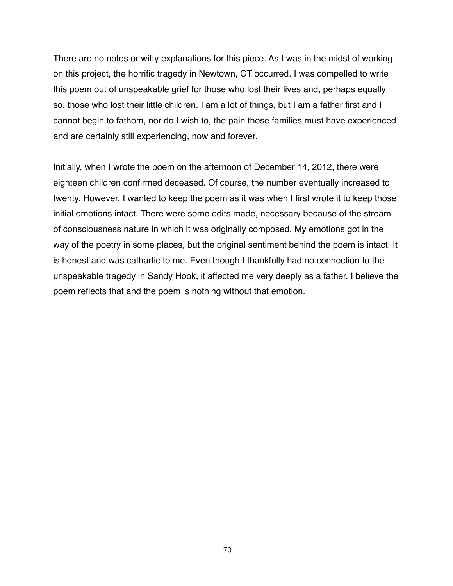There are no notes or witty explanations for this piece. As I was in the midst of working on this project, the horrific tragedy in Newtown, CT occurred. I was compelled to write this poem out of unspeakable grief for those who lost their lives and, perhaps equally so, those who lost their little children. I am a lot of things, but I am a father first and I cannot begin to fathom, nor do I wish to, the pain those families must have experienced and are certainly still experiencing, now and forever.

Initially, when I wrote the poem on the afternoon of December 14, 2012, there were eighteen children confirmed deceased. Of course, the number eventually increased to twenty. However, I wanted to keep the poem as it was when I first wrote it to keep those initial emotions intact. There were some edits made, necessary because of the stream of consciousness nature in which it was originally composed. My emotions got in the way of the poetry in some places, but the original sentiment behind the poem is intact. It is honest and was cathartic to me. Even though I thankfully had no connection to the unspeakable tragedy in Sandy Hook, it affected me very deeply as a father. I believe the poem reflects that and the poem is nothing without that emotion.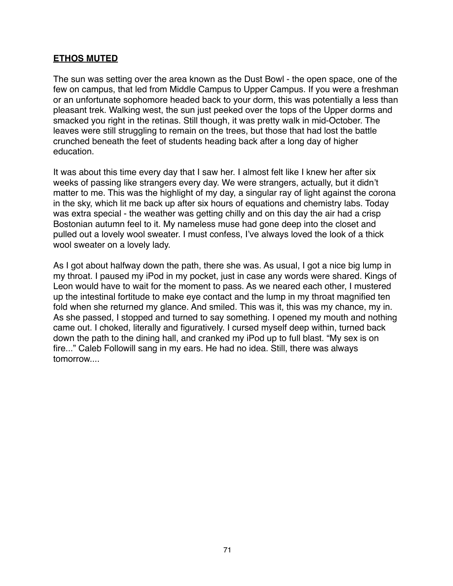## **ETHOS MUTED**

The sun was setting over the area known as the Dust Bowl - the open space, one of the few on campus, that led from Middle Campus to Upper Campus. If you were a freshman or an unfortunate sophomore headed back to your dorm, this was potentially a less than pleasant trek. Walking west, the sun just peeked over the tops of the Upper dorms and smacked you right in the retinas. Still though, it was pretty walk in mid-October. The leaves were still struggling to remain on the trees, but those that had lost the battle crunched beneath the feet of students heading back after a long day of higher education.

It was about this time every day that I saw her. I almost felt like I knew her after six weeks of passing like strangers every day. We were strangers, actually, but it didn't matter to me. This was the highlight of my day, a singular ray of light against the corona in the sky, which lit me back up after six hours of equations and chemistry labs. Today was extra special - the weather was getting chilly and on this day the air had a crisp Bostonian autumn feel to it. My nameless muse had gone deep into the closet and pulled out a lovely wool sweater. I must confess, I've always loved the look of a thick wool sweater on a lovely lady.

As I got about halfway down the path, there she was. As usual, I got a nice big lump in my throat. I paused my iPod in my pocket, just in case any words were shared. Kings of Leon would have to wait for the moment to pass. As we neared each other, I mustered up the intestinal fortitude to make eye contact and the lump in my throat magnified ten fold when she returned my glance. And smiled. This was it, this was my chance, my in. As she passed, I stopped and turned to say something. I opened my mouth and nothing came out. I choked, literally and figuratively. I cursed myself deep within, turned back down the path to the dining hall, and cranked my iPod up to full blast. "My sex is on fire..." Caleb Followill sang in my ears. He had no idea. Still, there was always tomorrow....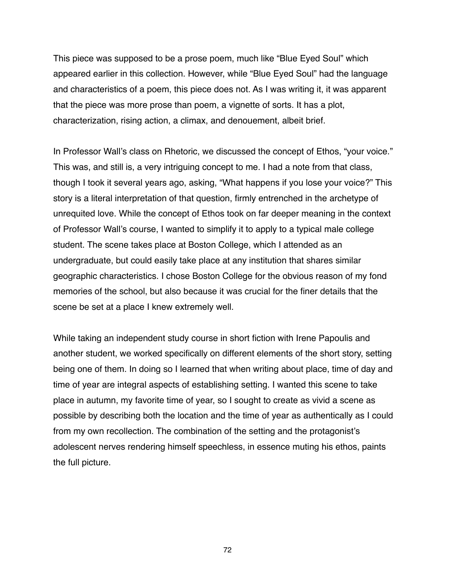This piece was supposed to be a prose poem, much like "Blue Eyed Soul" which appeared earlier in this collection. However, while "Blue Eyed Soul" had the language and characteristics of a poem, this piece does not. As I was writing it, it was apparent that the piece was more prose than poem, a vignette of sorts. It has a plot, characterization, rising action, a climax, and denouement, albeit brief.

In Professor Wall's class on Rhetoric, we discussed the concept of Ethos, "your voice." This was, and still is, a very intriguing concept to me. I had a note from that class, though I took it several years ago, asking, "What happens if you lose your voice?" This story is a literal interpretation of that question, firmly entrenched in the archetype of unrequited love. While the concept of Ethos took on far deeper meaning in the context of Professor Wall's course, I wanted to simplify it to apply to a typical male college student. The scene takes place at Boston College, which I attended as an undergraduate, but could easily take place at any institution that shares similar geographic characteristics. I chose Boston College for the obvious reason of my fond memories of the school, but also because it was crucial for the finer details that the scene be set at a place I knew extremely well.

While taking an independent study course in short fiction with Irene Papoulis and another student, we worked specifically on different elements of the short story, setting being one of them. In doing so I learned that when writing about place, time of day and time of year are integral aspects of establishing setting. I wanted this scene to take place in autumn, my favorite time of year, so I sought to create as vivid a scene as possible by describing both the location and the time of year as authentically as I could from my own recollection. The combination of the setting and the protagonist's adolescent nerves rendering himself speechless, in essence muting his ethos, paints the full picture.

72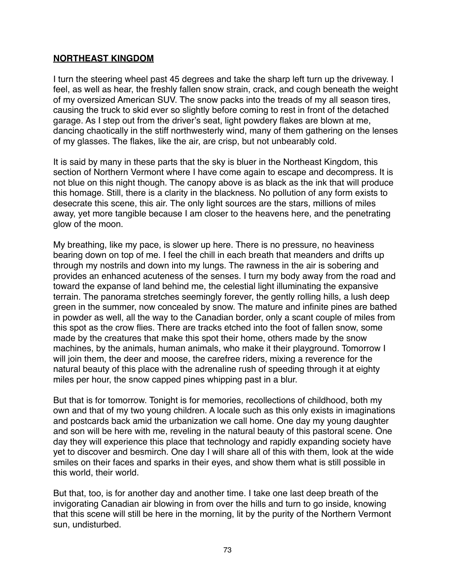# **NORTHEAST KINGDOM**

I turn the steering wheel past 45 degrees and take the sharp left turn up the driveway. I feel, as well as hear, the freshly fallen snow strain, crack, and cough beneath the weight of my oversized American SUV. The snow packs into the treads of my all season tires, causing the truck to skid ever so slightly before coming to rest in front of the detached garage. As I step out from the driver's seat, light powdery flakes are blown at me, dancing chaotically in the stiff northwesterly wind, many of them gathering on the lenses of my glasses. The flakes, like the air, are crisp, but not unbearably cold.

It is said by many in these parts that the sky is bluer in the Northeast Kingdom, this section of Northern Vermont where I have come again to escape and decompress. It is not blue on this night though. The canopy above is as black as the ink that will produce this homage. Still, there is a clarity in the blackness. No pollution of any form exists to desecrate this scene, this air. The only light sources are the stars, millions of miles away, yet more tangible because I am closer to the heavens here, and the penetrating glow of the moon.

My breathing, like my pace, is slower up here. There is no pressure, no heaviness bearing down on top of me. I feel the chill in each breath that meanders and drifts up through my nostrils and down into my lungs. The rawness in the air is sobering and provides an enhanced acuteness of the senses. I turn my body away from the road and toward the expanse of land behind me, the celestial light illuminating the expansive terrain. The panorama stretches seemingly forever, the gently rolling hills, a lush deep green in the summer, now concealed by snow. The mature and infinite pines are bathed in powder as well, all the way to the Canadian border, only a scant couple of miles from this spot as the crow flies. There are tracks etched into the foot of fallen snow, some made by the creatures that make this spot their home, others made by the snow machines, by the animals, human animals, who make it their playground. Tomorrow I will join them, the deer and moose, the carefree riders, mixing a reverence for the natural beauty of this place with the adrenaline rush of speeding through it at eighty miles per hour, the snow capped pines whipping past in a blur.

But that is for tomorrow. Tonight is for memories, recollections of childhood, both my own and that of my two young children. A locale such as this only exists in imaginations and postcards back amid the urbanization we call home. One day my young daughter and son will be here with me, reveling in the natural beauty of this pastoral scene. One day they will experience this place that technology and rapidly expanding society have yet to discover and besmirch. One day I will share all of this with them, look at the wide smiles on their faces and sparks in their eyes, and show them what is still possible in this world, their world.

But that, too, is for another day and another time. I take one last deep breath of the invigorating Canadian air blowing in from over the hills and turn to go inside, knowing that this scene will still be here in the morning, lit by the purity of the Northern Vermont sun, undisturbed.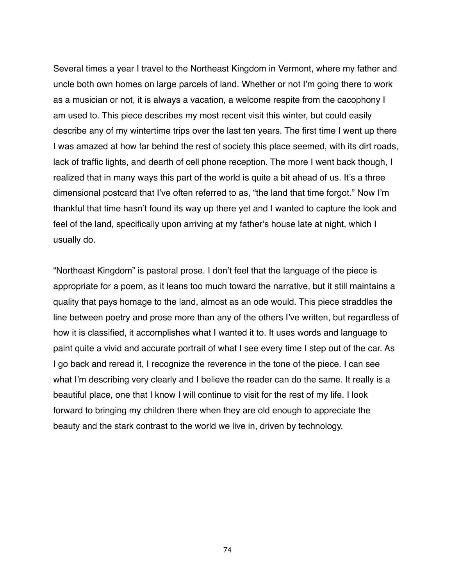Several times a year I travel to the Northeast Kingdom in Vermont, where my father and uncle both own homes on large parcels of land. Whether or not I'm going there to work as a musician or not, it is always a vacation, a welcome respite from the cacophony I am used to. This piece describes my most recent visit this winter, but could easily describe any of my wintertime trips over the last ten years. The first time I went up there I was amazed at how far behind the rest of society this place seemed, with its dirt roads, lack of traffic lights, and dearth of cell phone reception. The more I went back though, I realized that in many ways this part of the world is quite a bit ahead of us. It's a three dimensional postcard that I've often referred to as, "the land that time forgot." Now I'm thankful that time hasn't found its way up there yet and I wanted to capture the look and feel of the land, specifically upon arriving at my father's house late at night, which I usually do.

"Northeast Kingdom" is pastoral prose. I don't feel that the language of the piece is appropriate for a poem, as it leans too much toward the narrative, but it still maintains a quality that pays homage to the land, almost as an ode would. This piece straddles the line between poetry and prose more than any of the others I've written, but regardless of how it is classified, it accomplishes what I wanted it to. It uses words and language to paint quite a vivid and accurate portrait of what I see every time I step out of the car. As I go back and reread it, I recognize the reverence in the tone of the piece. I can see what I'm describing very clearly and I believe the reader can do the same. It really is a beautiful place, one that I know I will continue to visit for the rest of my life. I look forward to bringing my children there when they are old enough to appreciate the beauty and the stark contrast to the world we live in, driven by technology.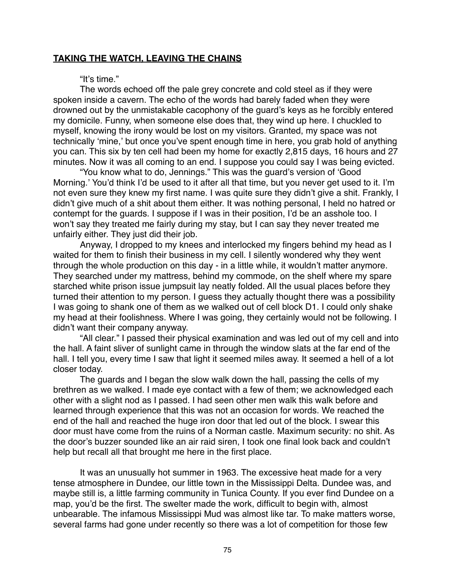## **TAKING THE WATCH, LEAVING THE CHAINS**

#### "It's time."

The words echoed off the pale grey concrete and cold steel as if they were spoken inside a cavern. The echo of the words had barely faded when they were drowned out by the unmistakable cacophony of the guard's keys as he forcibly entered my domicile. Funny, when someone else does that, they wind up here. I chuckled to myself, knowing the irony would be lost on my visitors. Granted, my space was not technically ʻmine,' but once you've spent enough time in here, you grab hold of anything you can. This six by ten cell had been my home for exactly 2,815 days, 16 hours and 27 minutes. Now it was all coming to an end. I suppose you could say I was being evicted.

"You know what to do, Jennings." This was the guard's version of ʻGood Morning.' You'd think I'd be used to it after all that time, but you never get used to it. I'm not even sure they knew my first name. I was quite sure they didn't give a shit. Frankly, I didn't give much of a shit about them either. It was nothing personal, I held no hatred or contempt for the guards. I suppose if I was in their position, I'd be an asshole too. I won't say they treated me fairly during my stay, but I can say they never treated me unfairly either. They just did their job.

Anyway, I dropped to my knees and interlocked my fingers behind my head as I waited for them to finish their business in my cell. I silently wondered why they went through the whole production on this day - in a little while, it wouldn't matter anymore. They searched under my mattress, behind my commode, on the shelf where my spare starched white prison issue jumpsuit lay neatly folded. All the usual places before they turned their attention to my person. I guess they actually thought there was a possibility I was going to shank one of them as we walked out of cell block D1. I could only shake my head at their foolishness. Where I was going, they certainly would not be following. I didn't want their company anyway.

"All clear." I passed their physical examination and was led out of my cell and into the hall. A faint sliver of sunlight came in through the window slats at the far end of the hall. I tell you, every time I saw that light it seemed miles away. It seemed a hell of a lot closer today.

The guards and I began the slow walk down the hall, passing the cells of my brethren as we walked. I made eye contact with a few of them; we acknowledged each other with a slight nod as I passed. I had seen other men walk this walk before and learned through experience that this was not an occasion for words. We reached the end of the hall and reached the huge iron door that led out of the block. I swear this door must have come from the ruins of a Norman castle. Maximum security: no shit. As the door's buzzer sounded like an air raid siren, I took one final look back and couldn't help but recall all that brought me here in the first place.

It was an unusually hot summer in 1963. The excessive heat made for a very tense atmosphere in Dundee, our little town in the Mississippi Delta. Dundee was, and maybe still is, a little farming community in Tunica County. If you ever find Dundee on a map, you'd be the first. The swelter made the work, difficult to begin with, almost unbearable. The infamous Mississippi Mud was almost like tar. To make matters worse, several farms had gone under recently so there was a lot of competition for those few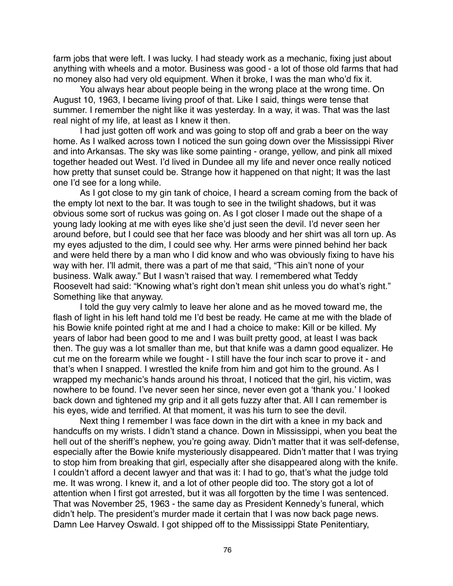farm jobs that were left. I was lucky. I had steady work as a mechanic, fixing just about anything with wheels and a motor. Business was good - a lot of those old farms that had no money also had very old equipment. When it broke, I was the man who'd fix it.

You always hear about people being in the wrong place at the wrong time. On August 10, 1963, I became living proof of that. Like I said, things were tense that summer. I remember the night like it was yesterday. In a way, it was. That was the last real night of my life, at least as I knew it then.

I had just gotten off work and was going to stop off and grab a beer on the way home. As I walked across town I noticed the sun going down over the Mississippi River and into Arkansas. The sky was like some painting - orange, yellow, and pink all mixed together headed out West. I'd lived in Dundee all my life and never once really noticed how pretty that sunset could be. Strange how it happened on that night; It was the last one I'd see for a long while.

As I got close to my gin tank of choice, I heard a scream coming from the back of the empty lot next to the bar. It was tough to see in the twilight shadows, but it was obvious some sort of ruckus was going on. As I got closer I made out the shape of a young lady looking at me with eyes like she'd just seen the devil. I'd never seen her around before, but I could see that her face was bloody and her shirt was all torn up. As my eyes adjusted to the dim, I could see why. Her arms were pinned behind her back and were held there by a man who I did know and who was obviously fixing to have his way with her. I'll admit, there was a part of me that said, "This ain't none of your business. Walk away." But I wasn't raised that way. I remembered what Teddy Roosevelt had said: "Knowing what's right don't mean shit unless you do what's right." Something like that anyway.

I told the guy very calmly to leave her alone and as he moved toward me, the flash of light in his left hand told me I'd best be ready. He came at me with the blade of his Bowie knife pointed right at me and I had a choice to make: Kill or be killed. My years of labor had been good to me and I was built pretty good, at least I was back then. The guy was a lot smaller than me, but that knife was a damn good equalizer. He cut me on the forearm while we fought - I still have the four inch scar to prove it - and that's when I snapped. I wrestled the knife from him and got him to the ground. As I wrapped my mechanic's hands around his throat, I noticed that the girl, his victim, was nowhere to be found. I've never seen her since, never even got a ʻthank you.' I looked back down and tightened my grip and it all gets fuzzy after that. All I can remember is his eyes, wide and terrified. At that moment, it was his turn to see the devil.

Next thing I remember I was face down in the dirt with a knee in my back and handcuffs on my wrists. I didn't stand a chance. Down in Mississippi, when you beat the hell out of the sheriff's nephew, you're going away. Didn't matter that it was self-defense, especially after the Bowie knife mysteriously disappeared. Didn't matter that I was trying to stop him from breaking that girl, especially after she disappeared along with the knife. I couldn't afford a decent lawyer and that was it: I had to go, that's what the judge told me. It was wrong. I knew it, and a lot of other people did too. The story got a lot of attention when I first got arrested, but it was all forgotten by the time I was sentenced. That was November 25, 1963 - the same day as President Kennedy's funeral, which didn't help. The president's murder made it certain that I was now back page news. Damn Lee Harvey Oswald. I got shipped off to the Mississippi State Penitentiary,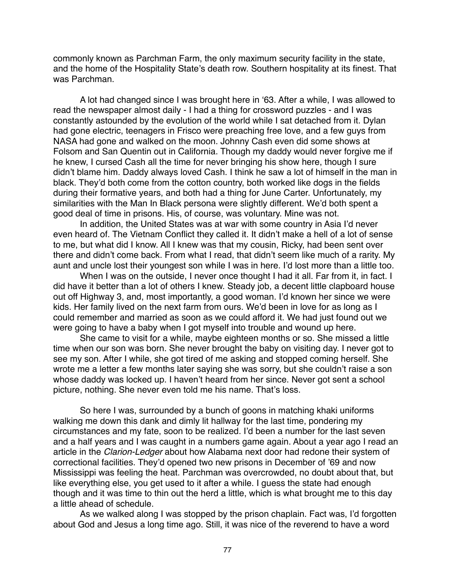commonly known as Parchman Farm, the only maximum security facility in the state, and the home of the Hospitality State's death row. Southern hospitality at its finest. That was Parchman.

A lot had changed since I was brought here in ʻ63. After a while, I was allowed to read the newspaper almost daily - I had a thing for crossword puzzles - and I was constantly astounded by the evolution of the world while I sat detached from it. Dylan had gone electric, teenagers in Frisco were preaching free love, and a few guys from NASA had gone and walked on the moon. Johnny Cash even did some shows at Folsom and San Quentin out in California. Though my daddy would never forgive me if he knew, I cursed Cash all the time for never bringing his show here, though I sure didn't blame him. Daddy always loved Cash. I think he saw a lot of himself in the man in black. They'd both come from the cotton country, both worked like dogs in the fields during their formative years, and both had a thing for June Carter. Unfortunately, my similarities with the Man In Black persona were slightly different. We'd both spent a good deal of time in prisons. His, of course, was voluntary. Mine was not.

In addition, the United States was at war with some country in Asia I'd never even heard of. The Vietnam Conflict they called it. It didn't make a hell of a lot of sense to me, but what did I know. All I knew was that my cousin, Ricky, had been sent over there and didn't come back. From what I read, that didn't seem like much of a rarity. My aunt and uncle lost their youngest son while I was in here. I'd lost more than a little too.

When I was on the outside, I never once thought I had it all. Far from it, in fact. I did have it better than a lot of others I knew. Steady job, a decent little clapboard house out off Highway 3, and, most importantly, a good woman. I'd known her since we were kids. Her family lived on the next farm from ours. We'd been in love for as long as I could remember and married as soon as we could afford it. We had just found out we were going to have a baby when I got myself into trouble and wound up here.

She came to visit for a while, maybe eighteen months or so. She missed a little time when our son was born. She never brought the baby on visiting day. I never got to see my son. After I while, she got tired of me asking and stopped coming herself. She wrote me a letter a few months later saying she was sorry, but she couldn't raise a son whose daddy was locked up. I haven't heard from her since. Never got sent a school picture, nothing. She never even told me his name. That's loss.

So here I was, surrounded by a bunch of goons in matching khaki uniforms walking me down this dank and dimly lit hallway for the last time, pondering my circumstances and my fate, soon to be realized. I'd been a number for the last seven and a half years and I was caught in a numbers game again. About a year ago I read an article in the *Clarion-Ledger* about how Alabama next door had redone their system of correctional facilities. They'd opened two new prisons in December of '69 and now Mississippi was feeling the heat. Parchman was overcrowded, no doubt about that, but like everything else, you get used to it after a while. I guess the state had enough though and it was time to thin out the herd a little, which is what brought me to this day a little ahead of schedule.

As we walked along I was stopped by the prison chaplain. Fact was, I'd forgotten about God and Jesus a long time ago. Still, it was nice of the reverend to have a word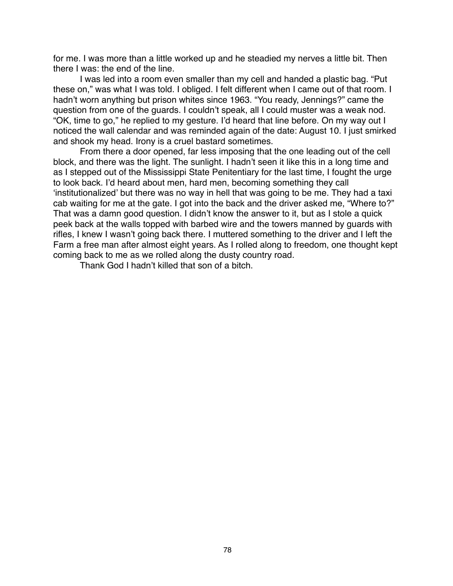for me. I was more than a little worked up and he steadied my nerves a little bit. Then there I was: the end of the line.

I was led into a room even smaller than my cell and handed a plastic bag. "Put these on," was what I was told. I obliged. I felt different when I came out of that room. I hadn't worn anything but prison whites since 1963. "You ready, Jennings?" came the question from one of the guards. I couldn't speak, all I could muster was a weak nod. "OK, time to go," he replied to my gesture. I'd heard that line before. On my way out I noticed the wall calendar and was reminded again of the date: August 10. I just smirked and shook my head. Irony is a cruel bastard sometimes.

From there a door opened, far less imposing that the one leading out of the cell block, and there was the light. The sunlight. I hadn't seen it like this in a long time and as I stepped out of the Mississippi State Penitentiary for the last time, I fought the urge to look back. I'd heard about men, hard men, becoming something they call ʻinstitutionalized' but there was no way in hell that was going to be me. They had a taxi cab waiting for me at the gate. I got into the back and the driver asked me, "Where to?" That was a damn good question. I didn't know the answer to it, but as I stole a quick peek back at the walls topped with barbed wire and the towers manned by guards with rifles, I knew I wasn't going back there. I muttered something to the driver and I left the Farm a free man after almost eight years. As I rolled along to freedom, one thought kept coming back to me as we rolled along the dusty country road.

Thank God I hadn't killed that son of a bitch.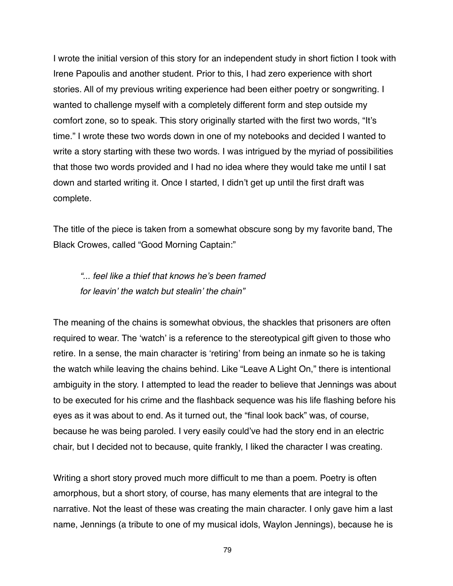I wrote the initial version of this story for an independent study in short fiction I took with Irene Papoulis and another student. Prior to this, I had zero experience with short stories. All of my previous writing experience had been either poetry or songwriting. I wanted to challenge myself with a completely different form and step outside my comfort zone, so to speak. This story originally started with the first two words, "It's time." I wrote these two words down in one of my notebooks and decided I wanted to write a story starting with these two words. I was intrigued by the myriad of possibilities that those two words provided and I had no idea where they would take me until I sat down and started writing it. Once I started, I didn't get up until the first draft was complete.

The title of the piece is taken from a somewhat obscure song by my favorite band, The Black Crowes, called "Good Morning Captain:"

*"... feel like a thief that knows he*'*s been framed for leavin*' *the watch but stealin*' *the chain"*

The meaning of the chains is somewhat obvious, the shackles that prisoners are often required to wear. The ʻwatch' is a reference to the stereotypical gift given to those who retire. In a sense, the main character is ʻretiring' from being an inmate so he is taking the watch while leaving the chains behind. Like "Leave A Light On," there is intentional ambiguity in the story. I attempted to lead the reader to believe that Jennings was about to be executed for his crime and the flashback sequence was his life flashing before his eyes as it was about to end. As it turned out, the "final look back" was, of course, because he was being paroled. I very easily could've had the story end in an electric chair, but I decided not to because, quite frankly, I liked the character I was creating.

Writing a short story proved much more difficult to me than a poem. Poetry is often amorphous, but a short story, of course, has many elements that are integral to the narrative. Not the least of these was creating the main character. I only gave him a last name, Jennings (a tribute to one of my musical idols, Waylon Jennings), because he is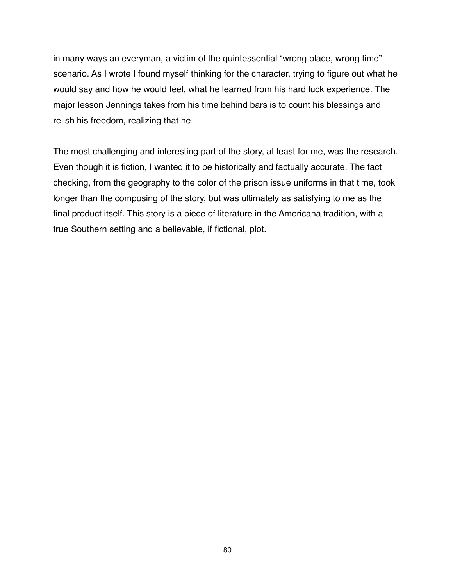in many ways an everyman, a victim of the quintessential "wrong place, wrong time" scenario. As I wrote I found myself thinking for the character, trying to figure out what he would say and how he would feel, what he learned from his hard luck experience. The major lesson Jennings takes from his time behind bars is to count his blessings and relish his freedom, realizing that he

The most challenging and interesting part of the story, at least for me, was the research. Even though it is fiction, I wanted it to be historically and factually accurate. The fact checking, from the geography to the color of the prison issue uniforms in that time, took longer than the composing of the story, but was ultimately as satisfying to me as the final product itself. This story is a piece of literature in the Americana tradition, with a true Southern setting and a believable, if fictional, plot.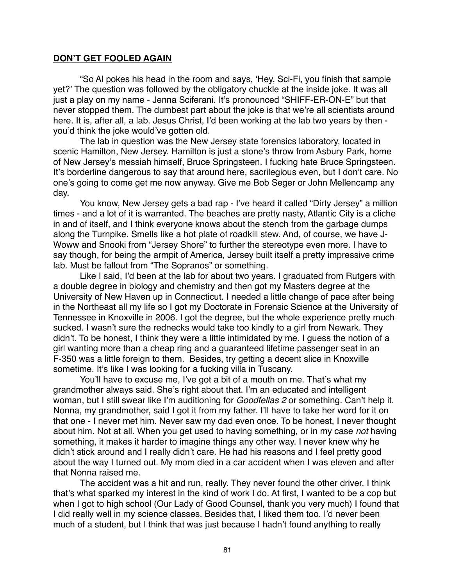#### **DON'T GET FOOLED AGAIN**

"So Al pokes his head in the room and says, ʻHey, Sci-Fi, you finish that sample yet?' The question was followed by the obligatory chuckle at the inside joke. It was all just a play on my name - Jenna Sciferani. It's pronounced "SHIFF-ER-ON-E" but that never stopped them. The dumbest part about the joke is that we're all scientists around here. It is, after all, a lab. Jesus Christ, I'd been working at the lab two years by then you'd think the joke would've gotten old.

The lab in question was the New Jersey state forensics laboratory, located in scenic Hamilton, New Jersey. Hamilton is just a stone's throw from Asbury Park, home of New Jersey's messiah himself, Bruce Springsteen. I fucking hate Bruce Springsteen. It's borderline dangerous to say that around here, sacrilegious even, but I don't care. No one's going to come get me now anyway. Give me Bob Seger or John Mellencamp any day.

You know, New Jersey gets a bad rap - I've heard it called "Dirty Jersey" a million times - and a lot of it is warranted. The beaches are pretty nasty, Atlantic City is a cliche in and of itself, and I think everyone knows about the stench from the garbage dumps along the Turnpike. Smells like a hot plate of roadkill stew. And, of course, we have J-Woww and Snooki from "Jersey Shore" to further the stereotype even more. I have to say though, for being the armpit of America, Jersey built itself a pretty impressive crime lab. Must be fallout from "The Sopranos" or something.

Like I said, I'd been at the lab for about two years. I graduated from Rutgers with a double degree in biology and chemistry and then got my Masters degree at the University of New Haven up in Connecticut. I needed a little change of pace after being in the Northeast all my life so I got my Doctorate in Forensic Science at the University of Tennessee in Knoxville in 2006. I got the degree, but the whole experience pretty much sucked. I wasn't sure the rednecks would take too kindly to a girl from Newark. They didn't. To be honest, I think they were a little intimidated by me. I guess the notion of a girl wanting more than a cheap ring and a guaranteed lifetime passenger seat in an F-350 was a little foreign to them. Besides, try getting a decent slice in Knoxville sometime. It's like I was looking for a fucking villa in Tuscany.

You'll have to excuse me, I've got a bit of a mouth on me. That's what my grandmother always said. She's right about that. I'm an educated and intelligent woman, but I still swear like I'm auditioning for *Goodfellas 2* or something. Can't help it. Nonna, my grandmother, said I got it from my father. I'll have to take her word for it on that one - I never met him. Never saw my dad even once. To be honest, I never thought about him. Not at all. When you get used to having something, or in my case *not* having something, it makes it harder to imagine things any other way. I never knew why he didn't stick around and I really didn't care. He had his reasons and I feel pretty good about the way I turned out. My mom died in a car accident when I was eleven and after that Nonna raised me.

The accident was a hit and run, really. They never found the other driver. I think that's what sparked my interest in the kind of work I do. At first, I wanted to be a cop but when I got to high school (Our Lady of Good Counsel, thank you very much) I found that I did really well in my science classes. Besides that, I liked them too. I'd never been much of a student, but I think that was just because I hadn't found anything to really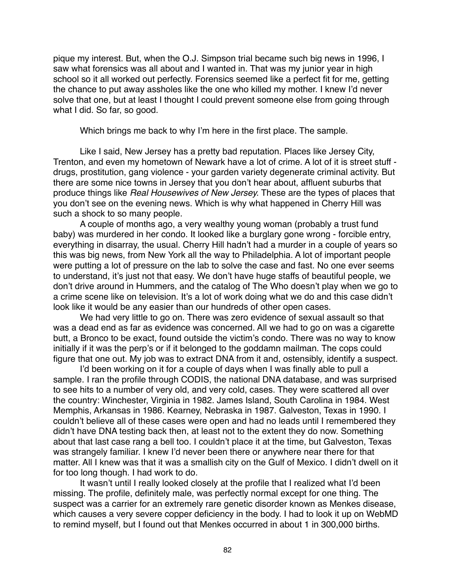pique my interest. But, when the O.J. Simpson trial became such big news in 1996, I saw what forensics was all about and I wanted in. That was my junior year in high school so it all worked out perfectly. Forensics seemed like a perfect fit for me, getting the chance to put away assholes like the one who killed my mother. I knew I'd never solve that one, but at least I thought I could prevent someone else from going through what I did. So far, so good.

Which brings me back to why I'm here in the first place. The sample.

Like I said, New Jersey has a pretty bad reputation. Places like Jersey City, Trenton, and even my hometown of Newark have a lot of crime. A lot of it is street stuff drugs, prostitution, gang violence - your garden variety degenerate criminal activity. But there are some nice towns in Jersey that you don't hear about, affluent suburbs that produce things like *Real Housewives of New Jersey.* These are the types of places that you don't see on the evening news. Which is why what happened in Cherry Hill was such a shock to so many people.

A couple of months ago, a very wealthy young woman (probably a trust fund baby) was murdered in her condo. It looked like a burglary gone wrong - forcible entry, everything in disarray, the usual. Cherry Hill hadn't had a murder in a couple of years so this was big news, from New York all the way to Philadelphia. A lot of important people were putting a lot of pressure on the lab to solve the case and fast. No one ever seems to understand, it's just not that easy. We don't have huge staffs of beautiful people, we don't drive around in Hummers, and the catalog of The Who doesn't play when we go to a crime scene like on television. It's a lot of work doing what we do and this case didn't look like it would be any easier than our hundreds of other open cases.

We had very little to go on. There was zero evidence of sexual assault so that was a dead end as far as evidence was concerned. All we had to go on was a cigarette butt, a Bronco to be exact, found outside the victim's condo. There was no way to know initially if it was the perp's or if it belonged to the goddamn mailman. The cops could figure that one out. My job was to extract DNA from it and, ostensibly, identify a suspect.

I'd been working on it for a couple of days when I was finally able to pull a sample. I ran the profile through CODIS, the national DNA database, and was surprised to see hits to a number of very old, and very cold, cases. They were scattered all over the country: Winchester, Virginia in 1982. James Island, South Carolina in 1984. West Memphis, Arkansas in 1986. Kearney, Nebraska in 1987. Galveston, Texas in 1990. I couldn't believe all of these cases were open and had no leads until I remembered they didn't have DNA testing back then, at least not to the extent they do now. Something about that last case rang a bell too. I couldn't place it at the time, but Galveston, Texas was strangely familiar. I knew I'd never been there or anywhere near there for that matter. All I knew was that it was a smallish city on the Gulf of Mexico. I didn't dwell on it for too long though. I had work to do.

It wasn't until I really looked closely at the profile that I realized what I'd been missing. The profile, definitely male, was perfectly normal except for one thing. The suspect was a carrier for an extremely rare genetic disorder known as Menkes disease, which causes a very severe copper deficiency in the body. I had to look it up on WebMD to remind myself, but I found out that Menkes occurred in about 1 in 300,000 births.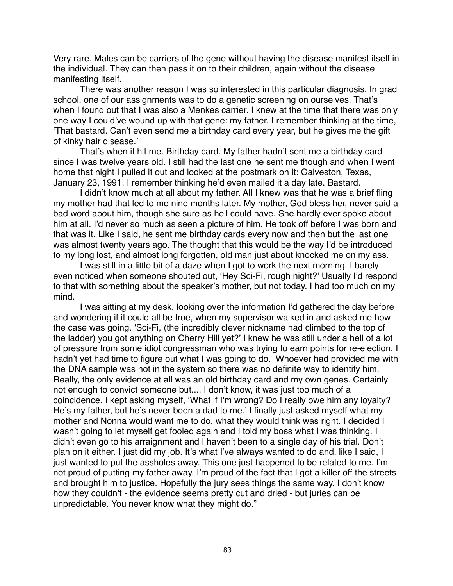Very rare. Males can be carriers of the gene without having the disease manifest itself in the individual. They can then pass it on to their children, again without the disease manifesting itself.

There was another reason I was so interested in this particular diagnosis. In grad school, one of our assignments was to do a genetic screening on ourselves. That's when I found out that I was also a Menkes carrier. I knew at the time that there was only one way I could've wound up with that gene: my father. I remember thinking at the time, ʻThat bastard. Can't even send me a birthday card every year, but he gives me the gift of kinky hair disease.'

That's when it hit me. Birthday card. My father hadn't sent me a birthday card since I was twelve years old. I still had the last one he sent me though and when I went home that night I pulled it out and looked at the postmark on it: Galveston, Texas, January 23, 1991. I remember thinking he'd even mailed it a day late. Bastard.

I didn't know much at all about my father. All I knew was that he was a brief fling my mother had that led to me nine months later. My mother, God bless her, never said a bad word about him, though she sure as hell could have. She hardly ever spoke about him at all. I'd never so much as seen a picture of him. He took off before I was born and that was it. Like I said, he sent me birthday cards every now and then but the last one was almost twenty years ago. The thought that this would be the way I'd be introduced to my long lost, and almost long forgotten, old man just about knocked me on my ass.

I was still in a little bit of a daze when I got to work the next morning. I barely even noticed when someone shouted out, ʻHey Sci-Fi, rough night?' Usually I'd respond to that with something about the speaker's mother, but not today. I had too much on my mind.

I was sitting at my desk, looking over the information I'd gathered the day before and wondering if it could all be true, when my supervisor walked in and asked me how the case was going. ʻSci-Fi, (the incredibly clever nickname had climbed to the top of the ladder) you got anything on Cherry Hill yet?' I knew he was still under a hell of a lot of pressure from some idiot congressman who was trying to earn points for re-election. I hadn't yet had time to figure out what I was going to do. Whoever had provided me with the DNA sample was not in the system so there was no definite way to identify him. Really, the only evidence at all was an old birthday card and my own genes. Certainly not enough to convict someone but.... I don't know, it was just too much of a coincidence. I kept asking myself, ʻWhat if I'm wrong? Do I really owe him any loyalty? He's my father, but he's never been a dad to me.' I finally just asked myself what my mother and Nonna would want me to do, what they would think was right. I decided I wasn't going to let myself get fooled again and I told my boss what I was thinking. I didn't even go to his arraignment and I haven't been to a single day of his trial. Don't plan on it either. I just did my job. It's what I've always wanted to do and, like I said, I just wanted to put the assholes away. This one just happened to be related to me. I'm not proud of putting my father away. I'm proud of the fact that I got a killer off the streets and brought him to justice. Hopefully the jury sees things the same way. I don't know how they couldn't - the evidence seems pretty cut and dried - but juries can be unpredictable. You never know what they might do."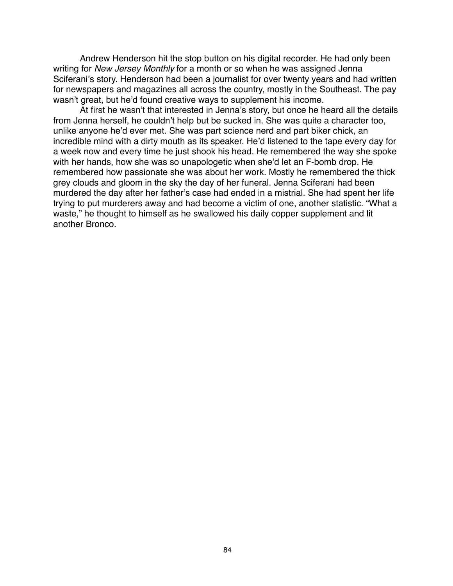Andrew Henderson hit the stop button on his digital recorder. He had only been writing for *New Jersey Monthly* for a month or so when he was assigned Jenna Sciferani's story. Henderson had been a journalist for over twenty years and had written for newspapers and magazines all across the country, mostly in the Southeast. The pay wasn't great, but he'd found creative ways to supplement his income.

At first he wasn't that interested in Jenna's story, but once he heard all the details from Jenna herself, he couldn't help but be sucked in. She was quite a character too, unlike anyone he'd ever met. She was part science nerd and part biker chick, an incredible mind with a dirty mouth as its speaker. He'd listened to the tape every day for a week now and every time he just shook his head. He remembered the way she spoke with her hands, how she was so unapologetic when she'd let an F-bomb drop. He remembered how passionate she was about her work. Mostly he remembered the thick grey clouds and gloom in the sky the day of her funeral. Jenna Sciferani had been murdered the day after her father's case had ended in a mistrial. She had spent her life trying to put murderers away and had become a victim of one, another statistic. "What a waste," he thought to himself as he swallowed his daily copper supplement and lit another Bronco.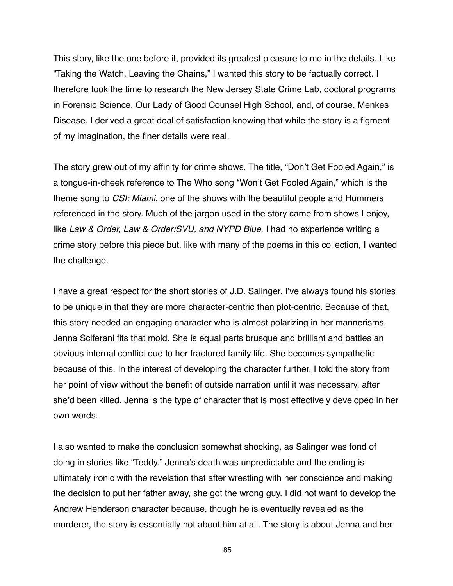This story, like the one before it, provided its greatest pleasure to me in the details. Like "Taking the Watch, Leaving the Chains," I wanted this story to be factually correct. I therefore took the time to research the New Jersey State Crime Lab, doctoral programs in Forensic Science, Our Lady of Good Counsel High School, and, of course, Menkes Disease. I derived a great deal of satisfaction knowing that while the story is a figment of my imagination, the finer details were real.

The story grew out of my affinity for crime shows. The title, "Don't Get Fooled Again," is a tongue-in-cheek reference to The Who song "Won't Get Fooled Again," which is the theme song to *CSI: Miami*, one of the shows with the beautiful people and Hummers referenced in the story. Much of the jargon used in the story came from shows I enjoy, like *Law & Order, Law & Order:SVU, and NYPD Blue*. I had no experience writing a crime story before this piece but, like with many of the poems in this collection, I wanted the challenge.

I have a great respect for the short stories of J.D. Salinger. I've always found his stories to be unique in that they are more character-centric than plot-centric. Because of that, this story needed an engaging character who is almost polarizing in her mannerisms. Jenna Sciferani fits that mold. She is equal parts brusque and brilliant and battles an obvious internal conflict due to her fractured family life. She becomes sympathetic because of this. In the interest of developing the character further, I told the story from her point of view without the benefit of outside narration until it was necessary, after she'd been killed. Jenna is the type of character that is most effectively developed in her own words.

I also wanted to make the conclusion somewhat shocking, as Salinger was fond of doing in stories like "Teddy." Jenna's death was unpredictable and the ending is ultimately ironic with the revelation that after wrestling with her conscience and making the decision to put her father away, she got the wrong guy. I did not want to develop the Andrew Henderson character because, though he is eventually revealed as the murderer, the story is essentially not about him at all. The story is about Jenna and her

85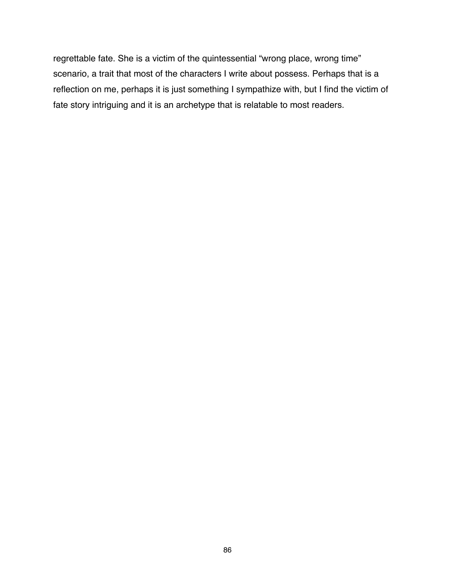regrettable fate. She is a victim of the quintessential "wrong place, wrong time" scenario, a trait that most of the characters I write about possess. Perhaps that is a reflection on me, perhaps it is just something I sympathize with, but I find the victim of fate story intriguing and it is an archetype that is relatable to most readers.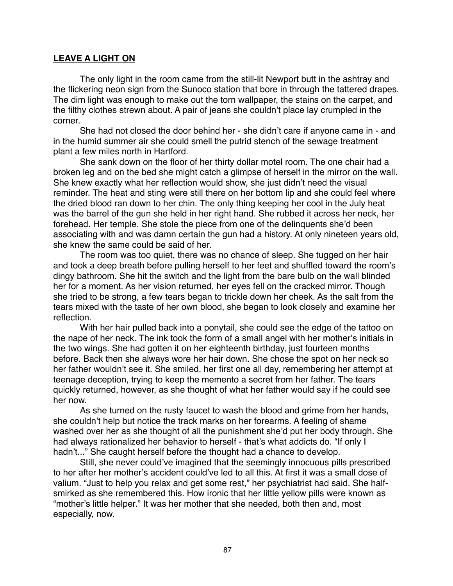## **LEAVE A LIGHT ON**

The only light in the room came from the still-lit Newport butt in the ashtray and the flickering neon sign from the Sunoco station that bore in through the tattered drapes. The dim light was enough to make out the torn wallpaper, the stains on the carpet, and the filthy clothes strewn about. A pair of jeans she couldn't place lay crumpled in the corner.

She had not closed the door behind her - she didn't care if anyone came in - and in the humid summer air she could smell the putrid stench of the sewage treatment plant a few miles north in Hartford.

She sank down on the floor of her thirty dollar motel room. The one chair had a broken leg and on the bed she might catch a glimpse of herself in the mirror on the wall. She knew exactly what her reflection would show, she just didn't need the visual reminder. The heat and sting were still there on her bottom lip and she could feel where the dried blood ran down to her chin. The only thing keeping her cool in the July heat was the barrel of the gun she held in her right hand. She rubbed it across her neck, her forehead. Her temple. She stole the piece from one of the delinquents she'd been associating with and was damn certain the gun had a history. At only nineteen years old, she knew the same could be said of her.

The room was too quiet, there was no chance of sleep. She tugged on her hair and took a deep breath before pulling herself to her feet and shuffled toward the room's dingy bathroom. She hit the switch and the light from the bare bulb on the wall blinded her for a moment. As her vision returned, her eyes fell on the cracked mirror. Though she tried to be strong, a few tears began to trickle down her cheek. As the salt from the tears mixed with the taste of her own blood, she began to look closely and examine her reflection.

With her hair pulled back into a ponytail, she could see the edge of the tattoo on the nape of her neck. The ink took the form of a small angel with her mother's initials in the two wings. She had gotten it on her eighteenth birthday, just fourteen months before. Back then she always wore her hair down. She chose the spot on her neck so her father wouldn't see it. She smiled, her first one all day, remembering her attempt at teenage deception, trying to keep the memento a secret from her father. The tears quickly returned, however, as she thought of what her father would say if he could see her now.

As she turned on the rusty faucet to wash the blood and grime from her hands, she couldn't help but notice the track marks on her forearms. A feeling of shame washed over her as she thought of all the punishment she'd put her body through. She had always rationalized her behavior to herself - that's what addicts do. "If only I hadn't..." She caught herself before the thought had a chance to develop.

Still, she never could've imagined that the seemingly innocuous pills prescribed to her after her mother's accident could've led to all this. At first it was a small dose of valium. "Just to help you relax and get some rest," her psychiatrist had said. She halfsmirked as she remembered this. How ironic that her little yellow pills were known as "mother's little helper." It was her mother that she needed, both then and, most especially, now.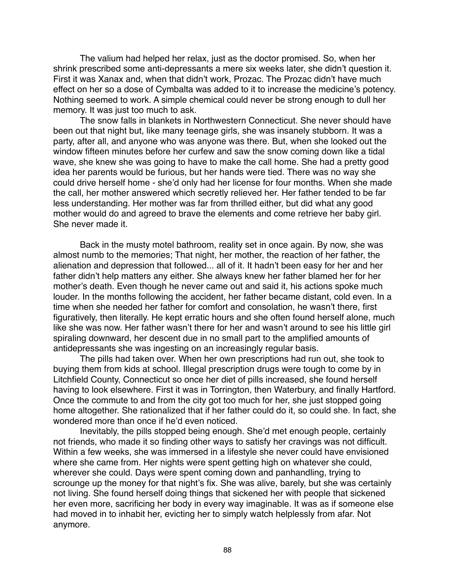The valium had helped her relax, just as the doctor promised. So, when her shrink prescribed some anti-depressants a mere six weeks later, she didn't question it. First it was Xanax and, when that didn't work, Prozac. The Prozac didn't have much effect on her so a dose of Cymbalta was added to it to increase the medicine's potency. Nothing seemed to work. A simple chemical could never be strong enough to dull her memory. It was just too much to ask.

The snow falls in blankets in Northwestern Connecticut. She never should have been out that night but, like many teenage girls, she was insanely stubborn. It was a party, after all, and anyone who was anyone was there. But, when she looked out the window fifteen minutes before her curfew and saw the snow coming down like a tidal wave, she knew she was going to have to make the call home. She had a pretty good idea her parents would be furious, but her hands were tied. There was no way she could drive herself home - she'd only had her license for four months. When she made the call, her mother answered which secretly relieved her. Her father tended to be far less understanding. Her mother was far from thrilled either, but did what any good mother would do and agreed to brave the elements and come retrieve her baby girl. She never made it.

Back in the musty motel bathroom, reality set in once again. By now, she was almost numb to the memories; That night, her mother, the reaction of her father, the alienation and depression that followed... all of it. It hadn't been easy for her and her father didn't help matters any either. She always knew her father blamed her for her mother's death. Even though he never came out and said it, his actions spoke much louder. In the months following the accident, her father became distant, cold even. In a time when she needed her father for comfort and consolation, he wasn't there, first figuratively, then literally. He kept erratic hours and she often found herself alone, much like she was now. Her father wasn't there for her and wasn't around to see his little girl spiraling downward, her descent due in no small part to the amplified amounts of antidepressants she was ingesting on an increasingly regular basis.

The pills had taken over. When her own prescriptions had run out, she took to buying them from kids at school. Illegal prescription drugs were tough to come by in Litchfield County, Connecticut so once her diet of pills increased, she found herself having to look elsewhere. First it was in Torrington, then Waterbury, and finally Hartford. Once the commute to and from the city got too much for her, she just stopped going home altogether. She rationalized that if her father could do it, so could she. In fact, she wondered more than once if he'd even noticed.

Inevitably, the pills stopped being enough. She'd met enough people, certainly not friends, who made it so finding other ways to satisfy her cravings was not difficult. Within a few weeks, she was immersed in a lifestyle she never could have envisioned where she came from. Her nights were spent getting high on whatever she could, wherever she could. Days were spent coming down and panhandling, trying to scrounge up the money for that night's fix. She was alive, barely, but she was certainly not living. She found herself doing things that sickened her with people that sickened her even more, sacrificing her body in every way imaginable. It was as if someone else had moved in to inhabit her, evicting her to simply watch helplessly from afar. Not anymore.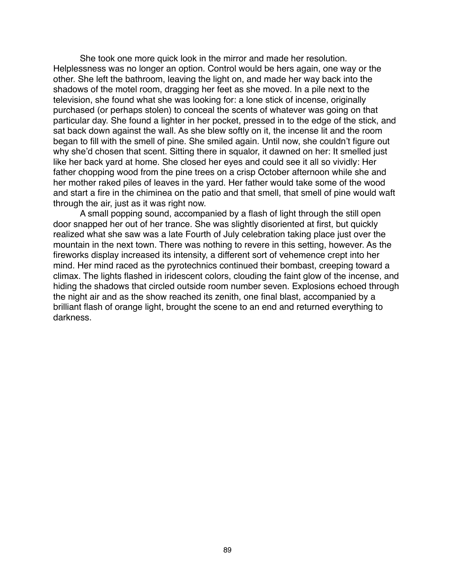She took one more quick look in the mirror and made her resolution. Helplessness was no longer an option. Control would be hers again, one way or the other. She left the bathroom, leaving the light on, and made her way back into the shadows of the motel room, dragging her feet as she moved. In a pile next to the television, she found what she was looking for: a lone stick of incense, originally purchased (or perhaps stolen) to conceal the scents of whatever was going on that particular day. She found a lighter in her pocket, pressed in to the edge of the stick, and sat back down against the wall. As she blew softly on it, the incense lit and the room began to fill with the smell of pine. She smiled again. Until now, she couldn't figure out why she'd chosen that scent. Sitting there in squalor, it dawned on her: It smelled just like her back yard at home. She closed her eyes and could see it all so vividly: Her father chopping wood from the pine trees on a crisp October afternoon while she and her mother raked piles of leaves in the yard. Her father would take some of the wood and start a fire in the chiminea on the patio and that smell, that smell of pine would waft through the air, just as it was right now.

A small popping sound, accompanied by a flash of light through the still open door snapped her out of her trance. She was slightly disoriented at first, but quickly realized what she saw was a late Fourth of July celebration taking place just over the mountain in the next town. There was nothing to revere in this setting, however. As the fireworks display increased its intensity, a different sort of vehemence crept into her mind. Her mind raced as the pyrotechnics continued their bombast, creeping toward a climax. The lights flashed in iridescent colors, clouding the faint glow of the incense, and hiding the shadows that circled outside room number seven. Explosions echoed through the night air and as the show reached its zenith, one final blast, accompanied by a brilliant flash of orange light, brought the scene to an end and returned everything to darkness.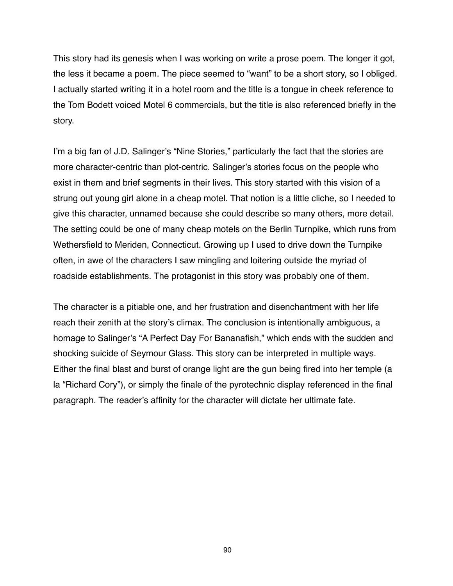This story had its genesis when I was working on write a prose poem. The longer it got, the less it became a poem. The piece seemed to "want" to be a short story, so I obliged. I actually started writing it in a hotel room and the title is a tongue in cheek reference to the Tom Bodett voiced Motel 6 commercials, but the title is also referenced briefly in the story.

I'm a big fan of J.D. Salinger's "Nine Stories," particularly the fact that the stories are more character-centric than plot-centric. Salinger's stories focus on the people who exist in them and brief segments in their lives. This story started with this vision of a strung out young girl alone in a cheap motel. That notion is a little cliche, so I needed to give this character, unnamed because she could describe so many others, more detail. The setting could be one of many cheap motels on the Berlin Turnpike, which runs from Wethersfield to Meriden, Connecticut. Growing up I used to drive down the Turnpike often, in awe of the characters I saw mingling and loitering outside the myriad of roadside establishments. The protagonist in this story was probably one of them.

The character is a pitiable one, and her frustration and disenchantment with her life reach their zenith at the story's climax. The conclusion is intentionally ambiguous, a homage to Salinger's "A Perfect Day For Bananafish," which ends with the sudden and shocking suicide of Seymour Glass. This story can be interpreted in multiple ways. Either the final blast and burst of orange light are the gun being fired into her temple (a la "Richard Cory"), or simply the finale of the pyrotechnic display referenced in the final paragraph. The reader's affinity for the character will dictate her ultimate fate.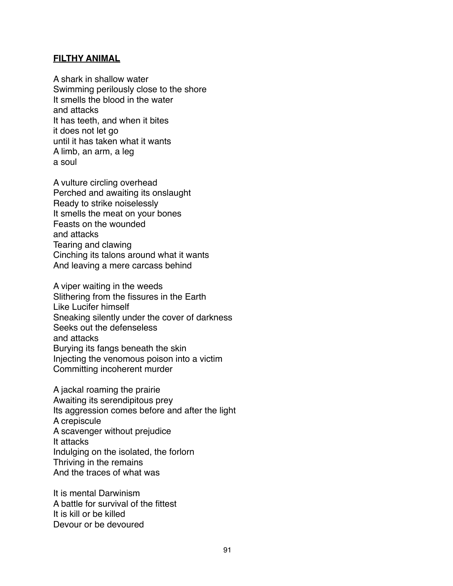### **FILTHY ANIMAL**

A shark in shallow water Swimming perilously close to the shore It smells the blood in the water and attacks It has teeth, and when it bites it does not let go until it has taken what it wants A limb, an arm, a leg a soul

A vulture circling overhead Perched and awaiting its onslaught Ready to strike noiselessly It smells the meat on your bones Feasts on the wounded and attacks Tearing and clawing Cinching its talons around what it wants And leaving a mere carcass behind

A viper waiting in the weeds Slithering from the fissures in the Earth Like Lucifer himself Sneaking silently under the cover of darkness Seeks out the defenseless and attacks Burying its fangs beneath the skin Injecting the venomous poison into a victim Committing incoherent murder

A jackal roaming the prairie Awaiting its serendipitous prey Its aggression comes before and after the light A crepiscule A scavenger without prejudice It attacks Indulging on the isolated, the forlorn Thriving in the remains And the traces of what was

It is mental Darwinism A battle for survival of the fittest It is kill or be killed Devour or be devoured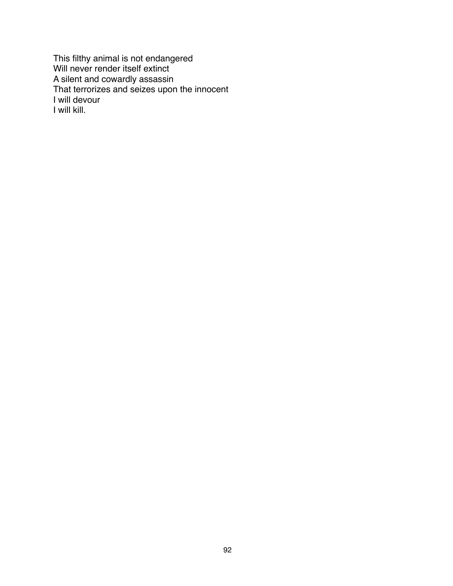This filthy animal is not endangered Will never render itself extinct A silent and cowardly assassin That terrorizes and seizes upon the innocent I will devour I will kill.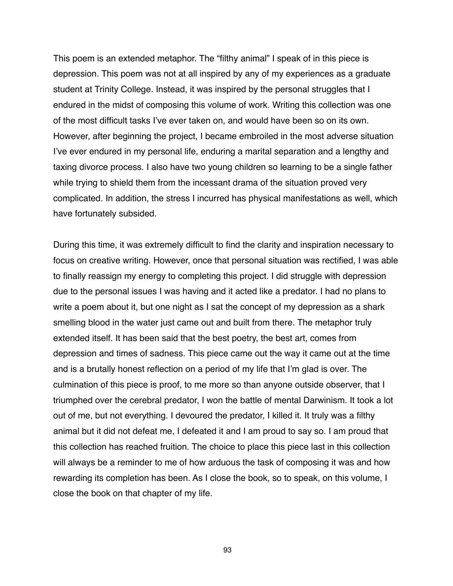This poem is an extended metaphor. The "filthy animal" I speak of in this piece is depression. This poem was not at all inspired by any of my experiences as a graduate student at Trinity College. Instead, it was inspired by the personal struggles that I endured in the midst of composing this volume of work. Writing this collection was one of the most difficult tasks I've ever taken on, and would have been so on its own. However, after beginning the project, I became embroiled in the most adverse situation I've ever endured in my personal life, enduring a marital separation and a lengthy and taxing divorce process. I also have two young children so learning to be a single father while trying to shield them from the incessant drama of the situation proved very complicated. In addition, the stress I incurred has physical manifestations as well, which have fortunately subsided.

During this time, it was extremely difficult to find the clarity and inspiration necessary to focus on creative writing. However, once that personal situation was rectified, I was able to finally reassign my energy to completing this project. I did struggle with depression due to the personal issues I was having and it acted like a predator. I had no plans to write a poem about it, but one night as I sat the concept of my depression as a shark smelling blood in the water just came out and built from there. The metaphor truly extended itself. It has been said that the best poetry, the best art, comes from depression and times of sadness. This piece came out the way it came out at the time and is a brutally honest reflection on a period of my life that I'm glad is over. The culmination of this piece is proof, to me more so than anyone outside observer, that I triumphed over the cerebral predator, I won the battle of mental Darwinism. It took a lot out of me, but not everything. I devoured the predator, I killed it. It truly was a filthy animal but it did not defeat me, I defeated it and I am proud to say so. I am proud that this collection has reached fruition. The choice to place this piece last in this collection will always be a reminder to me of how arduous the task of composing it was and how rewarding its completion has been. As I close the book, so to speak, on this volume, I close the book on that chapter of my life.

93